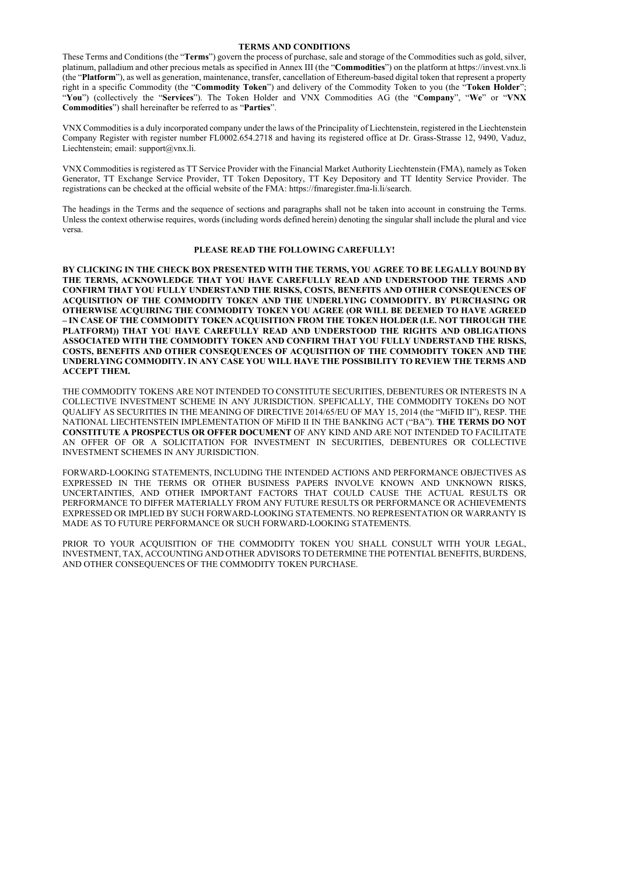#### TERMS AND CONDITIONS

VNX Commodities is a duly incorporated company under the laws of the Principality of Liechtenstein, registered in the Liechtenstein Company Register with register number FL0002.654.2718 and having its registered office at Dr. Grass-Strasse 12, 9490, Vaduz, Liechtenstein; email: support@vnx.li.

These Terms and Conditions (the "Terms") govern the process of purchase, sale and storage of the Commodities such as gold, silver, platinum, palladium and other precious metals as specified in Annex III (the "Commodities") on the platform at https://invest.vnx.li (the "Platform"), as well as generation, maintenance, transfer, cancellation of Ethereum-based digital token that represent a property right in a specific Commodity (the "Commodity Token") and delivery of the Commodity Token to you (the "Token Holder"; "You") (collectively the "Services"). The Token Holder and VNX Commodities AG (the "Company", "We" or "VNX" Commodities") shall hereinafter be referred to as "Parties".

VNX Commodities is registered as TT Service Provider with the Financial Market Authority Liechtenstein (FMA), namely as Token Generator, TT Exchange Service Provider, TT Token Depository, TT Key Depository and TT Identity Service Provider. The registrations can be checked at the official website of the FMA: https://fmaregister.fma-li.li/search.

The headings in the Terms and the sequence of sections and paragraphs shall not be taken into account in construing the Terms. Unless the context otherwise requires, words (including words defined herein) denoting the singular shall include the plural and vice versa.

#### PLEASE READ THE FOLLOWING CAREFULLY!

PRIOR TO YOUR ACQUISITION OF THE COMMODITY TOKEN YOU SHALL CONSULT WITH YOUR LEGAL, INVESTMENT, TAX, ACCOUNTING AND OTHER ADVISORS TO DETERMINE THE POTENTIAL BENEFITS, BURDENS, AND OTHER CONSEQUENCES OF THE COMMODITY TOKEN PURCHASE.

BY CLICKING IN THE CHECK BOX PRESENTED WITH THE TERMS, YOU AGREE TO BE LEGALLY BOUND BY THE TERMS, ACKNOWLEDGE THAT YOU HAVE CAREFULLY READ AND UNDERSTOOD THE TERMS AND CONFIRM THAT YOU FULLY UNDERSTAND THE RISKS, COSTS, BENEFITS AND OTHER CONSEQUENCES OF ACQUISITION OF THE COMMODITY TOKEN AND THE UNDERLYING COMMODITY. BY PURCHASING OR OTHERWISE ACQUIRING THE COMMODITY TOKEN YOU AGREE (OR WILL BE DEEMED TO HAVE AGREED – IN CASE OF THE COMMODITY TOKEN ACQUISITION FROM THE TOKEN HOLDER (I.E. NOT THROUGH THE PLATFORM)) THAT YOU HAVE CAREFULLY READ AND UNDERSTOOD THE RIGHTS AND OBLIGATIONS ASSOCIATED WITH THE COMMODITY TOKEN AND CONFIRM THAT YOU FULLY UNDERSTAND THE RISKS, COSTS, BENEFITS AND OTHER CONSEQUENCES OF ACQUISITION OF THE COMMODITY TOKEN AND THE UNDERLYING COMMODITY. IN ANY CASE YOU WILL HAVE THE POSSIBILITY TO REVIEW THE TERMS AND ACCEPT THEM.

THE COMMODITY TOKENS ARE NOT INTENDED TO CONSTITUTE SECURITIES, DEBENTURES OR INTERESTS IN A COLLECTIVE INVESTMENT SCHEME IN ANY JURISDICTION. SPEFICALLY, THE COMMODITY TOKENs DO NOT QUALIFY AS SECURITIES IN THE MEANING OF DIRECTIVE 2014/65/EU OF MAY 15, 2014 (the "MiFID II"), RESP. THE NATIONAL LIECHTENSTEIN IMPLEMENTATION OF MiFID II IN THE BANKING ACT ("BA"). THE TERMS DO NOT CONSTITUTE A PROSPECTUS OR OFFER DOCUMENT OF ANY KIND AND ARE NOT INTENDED TO FACILITATE AN OFFER OF OR A SOLICITATION FOR INVESTMENT IN SECURITIES, DEBENTURES OR COLLECTIVE INVESTMENT SCHEMES IN ANY JURISDICTION.

FORWARD-LOOKING STATEMENTS, INCLUDING THE INTENDED ACTIONS AND PERFORMANCE OBJECTIVES AS EXPRESSED IN THE TERMS OR OTHER BUSINESS PAPERS INVOLVE KNOWN AND UNKNOWN RISKS, UNCERTAINTIES, AND OTHER IMPORTANT FACTORS THAT COULD CAUSE THE ACTUAL RESULTS OR PERFORMANCE TO DIFFER MATERIALLY FROM ANY FUTURE RESULTS OR PERFORMANCE OR ACHIEVEMENTS EXPRESSED OR IMPLIED BY SUCH FORWARD-LOOKING STATEMENTS. NO REPRESENTATION OR WARRANTY IS MADE AS TO FUTURE PERFORMANCE OR SUCH FORWARD-LOOKING STATEMENTS.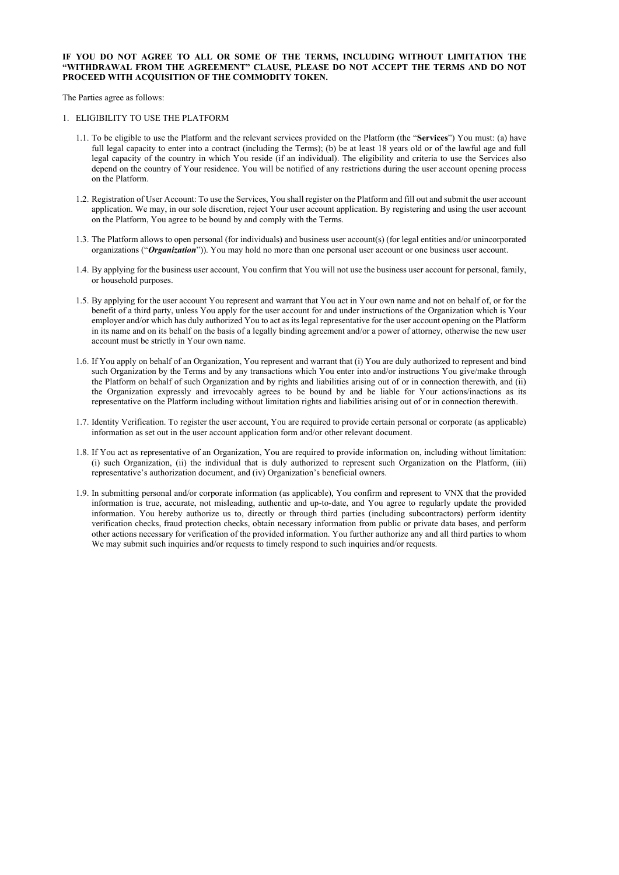- 1.1. To be eligible to use the Platform and the relevant services provided on the Platform (the "Services") You must: (a) have full legal capacity to enter into a contract (including the Terms); (b) be at least 18 years old or of the lawful age and full legal capacity of the country in which You reside (if an individual). The eligibility and criteria to use the Services also depend on the country of Your residence. You will be notified of any restrictions during the user account opening process on the Platform.
- 1.2. Registration of User Account: To use the Services, You shall register on the Platform and fill out and submit the user account application. We may, in our sole discretion, reject Your user account application. By registering and using the user account on the Platform, You agree to be bound by and comply with the Terms.
- 1.3. The Platform allows to open personal (for individuals) and business user account(s) (for legal entities and/or unincorporated organizations ("Organization")). You may hold no more than one personal user account or one business user account.
- 1.4. By applying for the business user account, You confirm that You will not use the business user account for personal, family, or household purposes.
- 1.5. By applying for the user account You represent and warrant that You act in Your own name and not on behalf of, or for the benefit of a third party, unless You apply for the user account for and under instructions of the Organization which is Your employer and/or which has duly authorized You to act as its legal representative for the user account opening on the Platform in its name and on its behalf on the basis of a legally binding agreement and/or a power of attorney, otherwise the new user account must be strictly in Your own name.
- 1.6. If You apply on behalf of an Organization, You represent and warrant that (i) You are duly authorized to represent and bind such Organization by the Terms and by any transactions which You enter into and/or instructions You give/make through the Platform on behalf of such Organization and by rights and liabilities arising out of or in connection therewith, and (ii) the Organization expressly and irrevocably agrees to be bound by and be liable for Your actions/inactions as its representative on the Platform including without limitation rights and liabilities arising out of or in connection therewith.
- 1.7. Identity Verification. To register the user account, You are required to provide certain personal or corporate (as applicable) information as set out in the user account application form and/or other relevant document.
- 1.8. If You act as representative of an Organization, You are required to provide information on, including without limitation: (i) such Organization, (ii) the individual that is duly authorized to represent such Organization on the Platform, (iii) representative's authorization document, and (iv) Organization's beneficial owners.
- 1.9. In submitting personal and/or corporate information (as applicable), You confirm and represent to VNX that the provided information is true, accurate, not misleading, authentic and up-to-date, and You agree to regularly update the provided information. You hereby authorize us to, directly or through third parties (including subcontractors) perform identity verification checks, fraud protection checks, obtain necessary information from public or private data bases, and perform other actions necessary for verification of the provided information. You further authorize any and all third parties to whom We may submit such inquiries and/or requests to timely respond to such inquiries and/or requests.

### IF YOU DO NOT AGREE TO ALL OR SOME OF THE TERMS, INCLUDING WITHOUT LIMITATION THE "WITHDRAWAL FROM THE AGREEMENT" CLAUSE, PLEASE DO NOT ACCEPT THE TERMS AND DO NOT PROCEED WITH ACOUISITION OF THE COMMODITY TOKEN.

The Parties agree as follows:

#### 1. ELIGIBILITY TO USE THE PLATFORM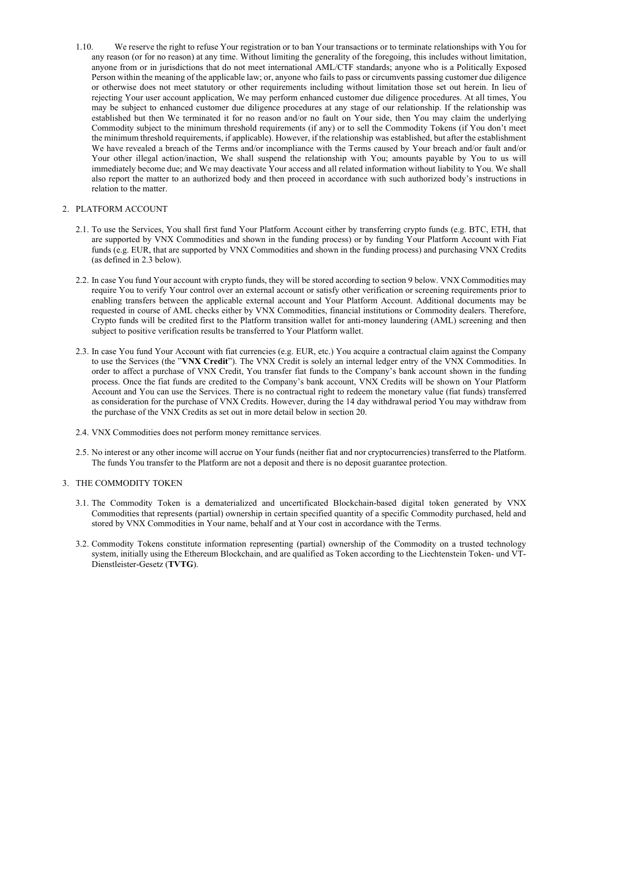1.10. We reserve the right to refuse Your registration or to ban Your transactions or to terminate relationships with You for any reason (or for no reason) at any time. Without limiting the generality of the foregoing, this includes without limitation, anyone from or in jurisdictions that do not meet international AML/CTF standards; anyone who is a Politically Exposed Person within the meaning of the applicable law; or, anyone who fails to pass or circumvents passing customer due diligence or otherwise does not meet statutory or other requirements including without limitation those set out herein. In lieu of rejecting Your user account application, We may perform enhanced customer due diligence procedures. At all times, You may be subject to enhanced customer due diligence procedures at any stage of our relationship. If the relationship was established but then We terminated it for no reason and/or no fault on Your side, then You may claim the underlying Commodity subject to the minimum threshold requirements (if any) or to sell the Commodity Tokens (if You don't meet the minimum threshold requirements, if applicable). However, if the relationship was established, but after the establishment We have revealed a breach of the Terms and/or incompliance with the Terms caused by Your breach and/or fault and/or Your other illegal action/inaction, We shall suspend the relationship with You; amounts payable by You to us will immediately become due; and We may deactivate Your access and all related information without liability to You. We shall also report the matter to an authorized body and then proceed in accordance with such authorized body's instructions in relation to the matter.

## 2. PLATFORM ACCOUNT

- 2.1. To use the Services, You shall first fund Your Platform Account either by transferring crypto funds (e.g. BTC, ETH, that are supported by VNX Commodities and shown in the funding process) or by funding Your Platform Account with Fiat funds (e.g. EUR, that are supported by VNX Commodities and shown in the funding process) and purchasing VNX Credits (as defined in 2.3 below).
- 2.2. In case You fund Your account with crypto funds, they will be stored according to section 9 below. VNX Commodities may require You to verify Your control over an external account or satisfy other verification or screening requirements prior to enabling transfers between the applicable external account and Your Platform Account. Additional documents may be requested in course of AML checks either by VNX Commodities, financial institutions or Commodity dealers. Therefore, Crypto funds will be credited first to the Platform transition wallet for anti-money laundering (AML) screening and then subject to positive verification results be transferred to Your Platform wallet.
- 2.3. In case You fund Your Account with fiat currencies (e.g. EUR, etc.) You acquire a contractual claim against the Company to use the Services (the "VNX Credit"). The VNX Credit is solely an internal ledger entry of the VNX Commodities. In order to affect a purchase of VNX Credit, You transfer fiat funds to the Company's bank account shown in the funding process. Once the fiat funds are credited to the Company's bank account, VNX Credits will be shown on Your Platform Account and You can use the Services. There is no contractual right to redeem the monetary value (fiat funds) transferred as consideration for the purchase of VNX Credits. However, during the 14 day withdrawal period You may withdraw from the purchase of the VNX Credits as set out in more detail below in section 20.
- 2.4. VNX Commodities does not perform money remittance services.
- 2.5. No interest or any other income will accrue on Your funds (neither fiat and nor cryptocurrencies) transferred to the Platform. The funds You transfer to the Platform are not a deposit and there is no deposit guarantee protection.

## 3. THE COMMODITY TOKEN

- 3.1. The Commodity Token is a dematerialized and uncertificated Blockchain-based digital token generated by VNX Commodities that represents (partial) ownership in certain specified quantity of a specific Commodity purchased, held and stored by VNX Commodities in Your name, behalf and at Your cost in accordance with the Terms.
- 3.2. Commodity Tokens constitute information representing (partial) ownership of the Commodity on a trusted technology system, initially using the Ethereum Blockchain, and are qualified as Token according to the Liechtenstein Token- und VT-Dienstleister-Gesetz (TVTG).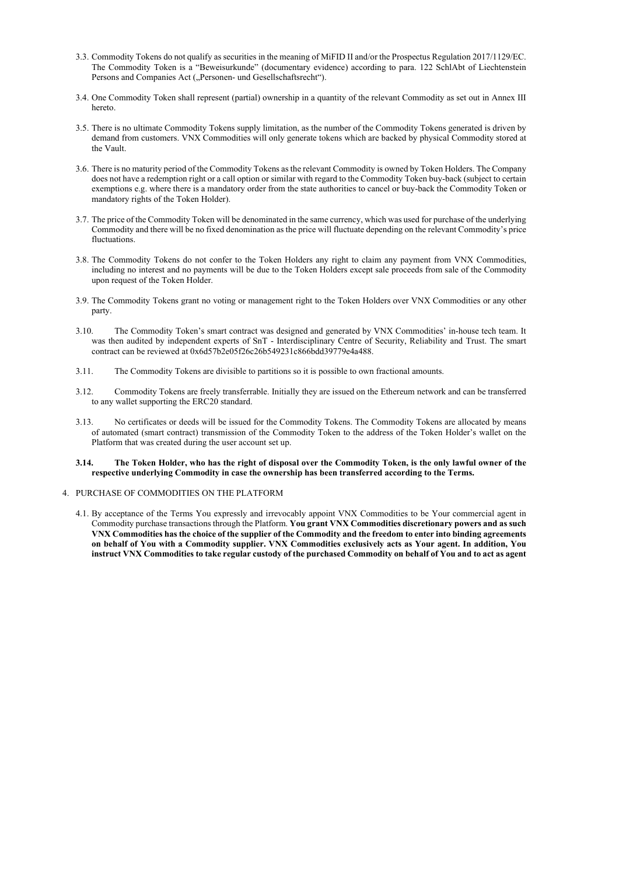- 3.3. Commodity Tokens do not qualify as securities in the meaning of MiFID II and/or the Prospectus Regulation 2017/1129/EC. The Commodity Token is a "Beweisurkunde" (documentary evidence) according to para. 122 SchlAbt of Liechtenstein Persons and Companies Act ("Personen- und Gesellschaftsrecht").
- 3.4. One Commodity Token shall represent (partial) ownership in a quantity of the relevant Commodity as set out in Annex III hereto.
- 3.5. There is no ultimate Commodity Tokens supply limitation, as the number of the Commodity Tokens generated is driven by demand from customers. VNX Commodities will only generate tokens which are backed by physical Commodity stored at the Vault.
- 3.6. There is no maturity period of the Commodity Tokens as the relevant Commodity is owned by Token Holders. The Company does not have a redemption right or a call option or similar with regard to the Commodity Token buy-back (subject to certain exemptions e.g. where there is a mandatory order from the state authorities to cancel or buy-back the Commodity Token or mandatory rights of the Token Holder).
- 3.7. The price of the Commodity Token will be denominated in the same currency, which was used for purchase of the underlying Commodity and there will be no fixed denomination as the price will fluctuate depending on the relevant Commodity's price fluctuations.
- 3.8. The Commodity Tokens do not confer to the Token Holders any right to claim any payment from VNX Commodities, including no interest and no payments will be due to the Token Holders except sale proceeds from sale of the Commodity upon request of the Token Holder.
- 3.9. The Commodity Tokens grant no voting or management right to the Token Holders over VNX Commodities or any other party.
- 3.10. The Commodity Token's smart contract was designed and generated by VNX Commodities' in-house tech team. It was then audited by independent experts of SnT - Interdisciplinary Centre of Security, Reliability and Trust. The smart contract can be reviewed at 0x6d57b2e05f26c26b549231c866bdd39779e4a488.
- 3.11. The Commodity Tokens are divisible to partitions so it is possible to own fractional amounts.
- 3.12. Commodity Tokens are freely transferrable. Initially they are issued on the Ethereum network and can be transferred to any wallet supporting the ERC20 standard.
- 3.13. No certificates or deeds will be issued for the Commodity Tokens. The Commodity Tokens are allocated by means of automated (smart contract) transmission of the Commodity Token to the address of the Token Holder's wallet on the Platform that was created during the user account set up.

#### 3.14. The Token Holder, who has the right of disposal over the Commodity Token, is the only lawful owner of the respective underlying Commodity in case the ownership has been transferred according to the Terms.

#### 4. PURCHASE OF COMMODITIES ON THE PLATFORM

4.1. By acceptance of the Terms You expressly and irrevocably appoint VNX Commodities to be Your commercial agent in Commodity purchase transactions through the Platform. You grant VNX Commodities discretionary powers and as such VNX Commodities has the choice of the supplier of the Commodity and the freedom to enter into binding agreements on behalf of You with a Commodity supplier. VNX Commodities exclusively acts as Your agent. In addition, You instruct VNX Commodities to take regular custody of the purchased Commodity on behalf of You and to act as agent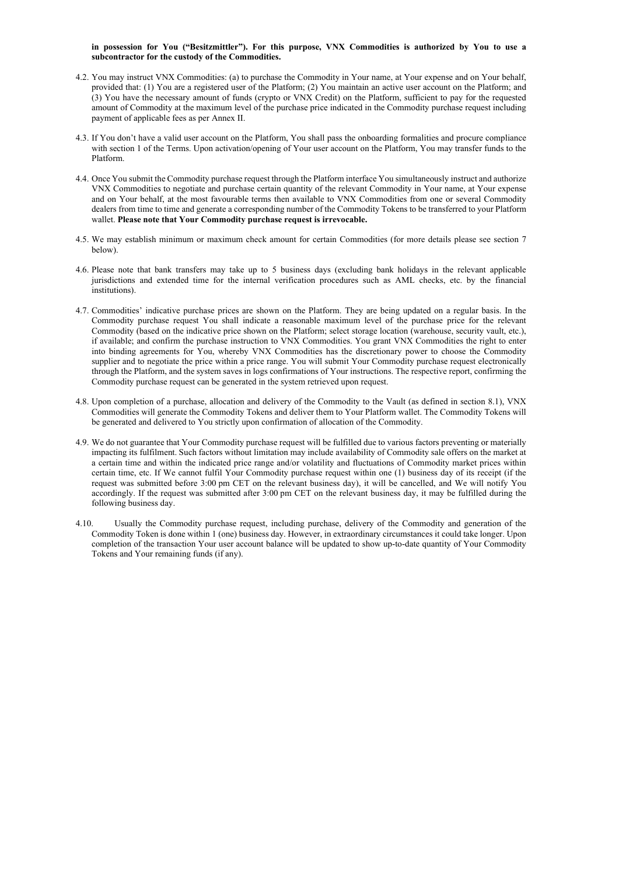#### in possession for You ("Besitzmittler"). For this purpose, VNX Commodities is authorized by You to use a subcontractor for the custody of the Commodities.

- 4.2. You may instruct VNX Commodities: (a) to purchase the Commodity in Your name, at Your expense and on Your behalf, provided that: (1) You are a registered user of the Platform; (2) You maintain an active user account on the Platform; and (3) You have the necessary amount of funds (crypto or VNX Credit) on the Platform, sufficient to pay for the requested amount of Commodity at the maximum level of the purchase price indicated in the Commodity purchase request including payment of applicable fees as per Annex II.
- 4.3. If You don't have a valid user account on the Platform, You shall pass the onboarding formalities and procure compliance with section 1 of the Terms. Upon activation/opening of Your user account on the Platform, You may transfer funds to the Platform.
- 4.4. Once You submit the Commodity purchase request through the Platform interface You simultaneously instruct and authorize VNX Commodities to negotiate and purchase certain quantity of the relevant Commodity in Your name, at Your expense and on Your behalf, at the most favourable terms then available to VNX Commodities from one or several Commodity dealers from time to time and generate a corresponding number of the Commodity Tokens to be transferred to your Platform wallet. Please note that Your Commodity purchase request is irrevocable.
- 4.5. We may establish minimum or maximum check amount for certain Commodities (for more details please see section 7 below).
- 4.6. Please note that bank transfers may take up to 5 business days (excluding bank holidays in the relevant applicable jurisdictions and extended time for the internal verification procedures such as AML checks, etc. by the financial institutions).
- 4.7. Commodities' indicative purchase prices are shown on the Platform. They are being updated on a regular basis. In the Commodity purchase request You shall indicate a reasonable maximum level of the purchase price for the relevant Commodity (based on the indicative price shown on the Platform; select storage location (warehouse, security vault, etc.), if available; and confirm the purchase instruction to VNX Commodities. You grant VNX Commodities the right to enter into binding agreements for You, whereby VNX Commodities has the discretionary power to choose the Commodity supplier and to negotiate the price within a price range. You will submit Your Commodity purchase request electronically through the Platform, and the system saves in logs confirmations of Your instructions. The respective report, confirming the Commodity purchase request can be generated in the system retrieved upon request.
- 4.8. Upon completion of a purchase, allocation and delivery of the Commodity to the Vault (as defined in section 8.1), VNX Commodities will generate the Commodity Tokens and deliver them to Your Platform wallet. The Commodity Tokens will be generated and delivered to You strictly upon confirmation of allocation of the Commodity.
- 4.9. We do not guarantee that Your Commodity purchase request will be fulfilled due to various factors preventing or materially impacting its fulfilment. Such factors without limitation may include availability of Commodity sale offers on the market at a certain time and within the indicated price range and/or volatility and fluctuations of Commodity market prices within certain time, etc. If We cannot fulfil Your Commodity purchase request within one (1) business day of its receipt (if the request was submitted before 3:00 pm CET on the relevant business day), it will be cancelled, and We will notify You accordingly. If the request was submitted after 3:00 pm CET on the relevant business day, it may be fulfilled during the following business day.
- 4.10. Usually the Commodity purchase request, including purchase, delivery of the Commodity and generation of the Commodity Token is done within 1 (one) business day. However, in extraordinary circumstances it could take longer. Upon completion of the transaction Your user account balance will be updated to show up-to-date quantity of Your Commodity Tokens and Your remaining funds (if any).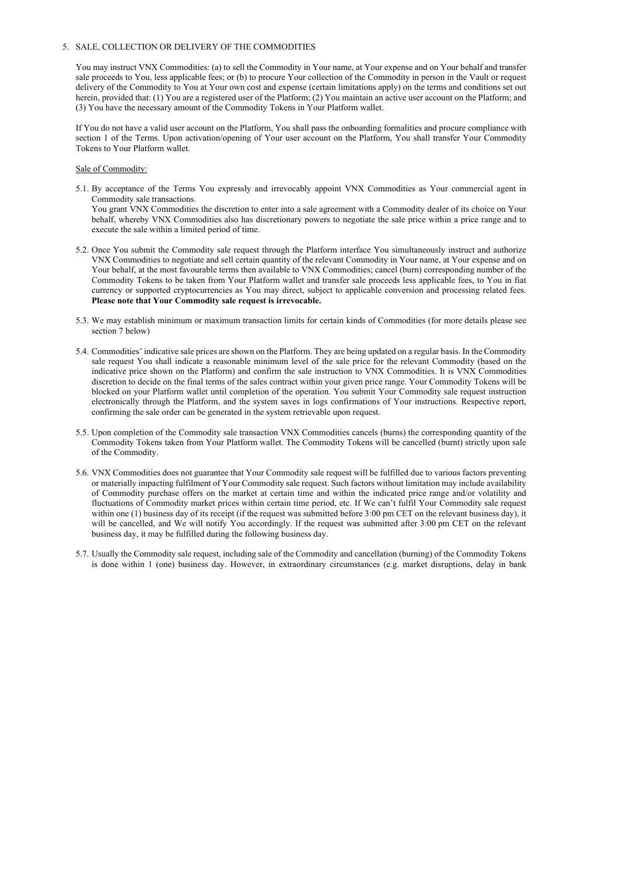## 5. SALE, COLLECTION OR DELIVERY OF THE COMMODITIES

You may instruct VNX Commodities: (a) to sell the Commodity in Your name, at Your expense and on Your behalf and transfer sale proceeds to You, less applicable fees; or (b) to procure Your collection of the Commodity in person in the Vault or request delivery of the Commodity to You at Your own cost and expense (certain limitations apply) on the terms and conditions set out herein, provided that: (1) You are a registered user of the Platform; (2) You maintain an active user account on the Platform; and (3) You have the necessary amount of the Commodity Tokens in Your Platform wallet.

If You do not have a valid user account on the Platform, You shall pass the onboarding formalities and procure compliance with section 1 of the Terms. Upon activation/opening of Your user account on the Platform, You shall transfer Your Commodity Tokens to Your Platform wallet.

#### Sale of Commodity:

5.1. By acceptance of the Terms You expressly and irrevocably appoint VNX Commodities as Your commercial agent in Commodity sale transactions.

You grant VNX Commodities the discretion to enter into a sale agreement with a Commodity dealer of its choice on Your behalf, whereby VNX Commodities also has discretionary powers to negotiate the sale price within a price range and to execute the sale within a limited period of time.

- 5.2. Once You submit the Commodity sale request through the Platform interface You simultaneously instruct and authorize VNX Commodities to negotiate and sell certain quantity of the relevant Commodity in Your name, at Your expense and on Your behalf, at the most favourable terms then available to VNX Commodities; cancel (burn) corresponding number of the Commodity Tokens to be taken from Your Platform wallet and transfer sale proceeds less applicable fees, to You in fiat currency or supported cryptocurrencies as You may direct, subject to applicable conversion and processing related fees. Please note that Your Commodity sale request is irrevocable.
- 5.3. We may establish minimum or maximum transaction limits for certain kinds of Commodities (for more details please see section 7 below)
- 5.4. Commodities' indicative sale prices are shown on the Platform. They are being updated on a regular basis. In the Commodity sale request You shall indicate a reasonable minimum level of the sale price for the relevant Commodity (based on the indicative price shown on the Platform) and confirm the sale instruction to VNX Commodities. It is VNX Commodities discretion to decide on the final terms of the sales contract within your given price range. Your Commodity Tokens will be blocked on your Platform wallet until completion of the operation. You submit Your Commodity sale request instruction electronically through the Platform, and the system saves in logs confirmations of Your instructions. Respective report, confirming the sale order can be generated in the system retrievable upon request.
- 5.5. Upon completion of the Commodity sale transaction VNX Commodities cancels (burns) the corresponding quantity of the Commodity Tokens taken from Your Platform wallet. The Commodity Tokens will be cancelled (burnt) strictly upon sale of the Commodity.
- 5.6. VNX Commodities does not guarantee that Your Commodity sale request will be fulfilled due to various factors preventing or materially impacting fulfilment of Your Commodity sale request. Such factors without limitation may include availability of Commodity purchase offers on the market at certain time and within the indicated price range and/or volatility and fluctuations of Commodity market prices within certain time period, etc. If We can't fulfil Your Commodity sale request within one (1) business day of its receipt (if the request was submitted before 3:00 pm CET on the relevant business day), it will be cancelled, and We will notify You accordingly. If the request was submitted after 3:00 pm CET on the relevant business day, it may be fulfilled during the following business day.
- 5.7. Usually the Commodity sale request, including sale of the Commodity and cancellation (burning) of the Commodity Tokens is done within 1 (one) business day. However, in extraordinary circumstances (e.g. market disruptions, delay in bank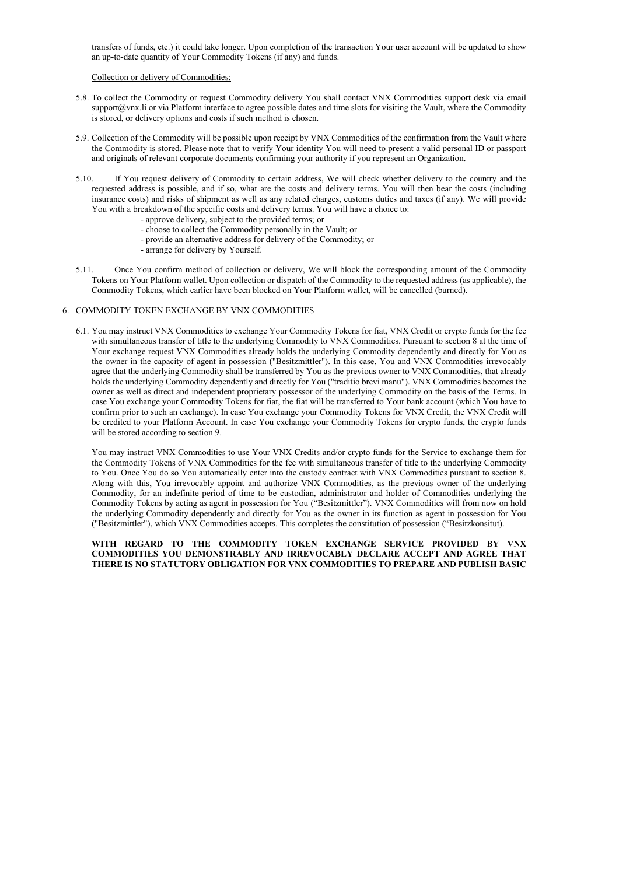transfers of funds, etc.) it could take longer. Upon completion of the transaction Your user account will be updated to show an up-to-date quantity of Your Commodity Tokens (if any) and funds.

#### Collection or delivery of Commodities:

6.1. You may instruct VNX Commodities to exchange Your Commodity Tokens for fiat, VNX Credit or crypto funds for the fee with simultaneous transfer of title to the underlying Commodity to VNX Commodities. Pursuant to section 8 at the time of Your exchange request VNX Commodities already holds the underlying Commodity dependently and directly for You as the owner in the capacity of agent in possession ("Besitzmittler"). In this case, You and VNX Commodities irrevocably agree that the underlying Commodity shall be transferred by You as the previous owner to VNX Commodities, that already holds the underlying Commodity dependently and directly for You ("traditio brevi manu"). VNX Commodities becomes the owner as well as direct and independent proprietary possessor of the underlying Commodity on the basis of the Terms. In case You exchange your Commodity Tokens for fiat, the fiat will be transferred to Your bank account (which You have to confirm prior to such an exchange). In case You exchange your Commodity Tokens for VNX Credit, the VNX Credit will be credited to your Platform Account. In case You exchange your Commodity Tokens for crypto funds, the crypto funds will be stored according to section 9.

- 5.8. To collect the Commodity or request Commodity delivery You shall contact VNX Commodities support desk via email support $@v\text{nx}$ . In or via Platform interface to agree possible dates and time slots for visiting the Vault, where the Commodity is stored, or delivery options and costs if such method is chosen.
- 5.9. Collection of the Commodity will be possible upon receipt by VNX Commodities of the confirmation from the Vault where the Commodity is stored. Please note that to verify Your identity You will need to present a valid personal ID or passport and originals of relevant corporate documents confirming your authority if you represent an Organization.
- 5.10. If You request delivery of Commodity to certain address, We will check whether delivery to the country and the requested address is possible, and if so, what are the costs and delivery terms. You will then bear the costs (including insurance costs) and risks of shipment as well as any related charges, customs duties and taxes (if any). We will provide You with a breakdown of the specific costs and delivery terms. You will have a choice to:
	- approve delivery, subject to the provided terms; or
	- choose to collect the Commodity personally in the Vault; or
	- provide an alternative address for delivery of the Commodity; or
	- arrange for delivery by Yourself.
- 5.11. Once You confirm method of collection or delivery, We will block the corresponding amount of the Commodity Tokens on Your Platform wallet. Upon collection or dispatch of the Commodity to the requested address (as applicable), the Commodity Tokens, which earlier have been blocked on Your Platform wallet, will be cancelled (burned).

### 6. COMMODITY TOKEN EXCHANGE BY VNX COMMODITIES

You may instruct VNX Commodities to use Your VNX Credits and/or crypto funds for the Service to exchange them for the Commodity Tokens of VNX Commodities for the fee with simultaneous transfer of title to the underlying Commodity to You. Once You do so You automatically enter into the custody contract with VNX Commodities pursuant to section 8. Along with this, You irrevocably appoint and authorize VNX Commodities, as the previous owner of the underlying Commodity, for an indefinite period of time to be custodian, administrator and holder of Commodities underlying the Commodity Tokens by acting as agent in possession for You ("Besitzmittler"). VNX Commodities will from now on hold the underlying Commodity dependently and directly for You as the owner in its function as agent in possession for You ("Besitzmittler"), which VNX Commodities accepts. This completes the constitution of possession ("Besitzkonsitut).

## WITH REGARD TO THE COMMODITY TOKEN EXCHANGE SERVICE PROVIDED BY VNX COMMODITIES YOU DEMONSTRABLY AND IRREVOCABLY DECLARE ACCEPT AND AGREE THAT THERE IS NO STATUTORY OBLIGATION FOR VNX COMMODITIES TO PREPARE AND PUBLISH BASIC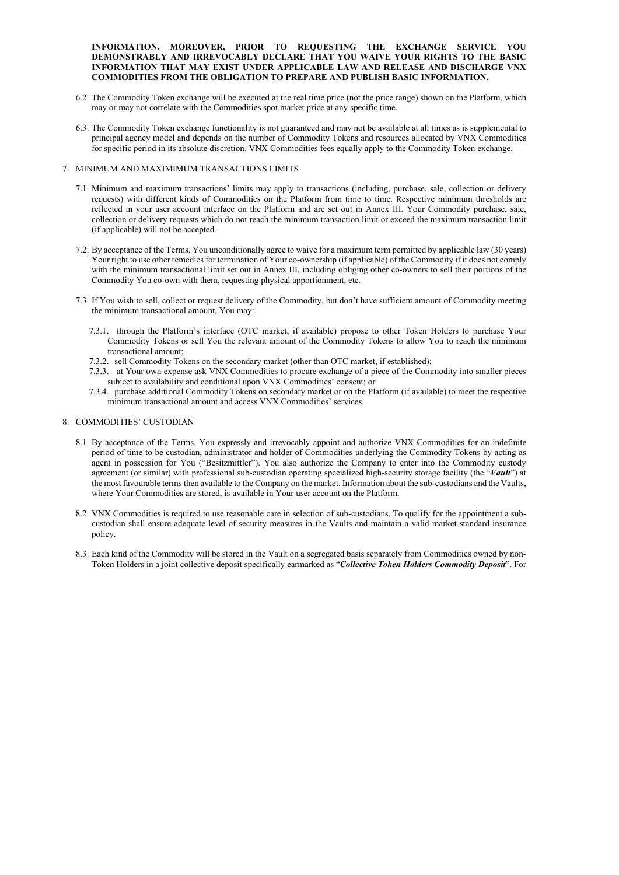## INFORMATION. MOREOVER, PRIOR TO REQUESTING THE EXCHANGE SERVICE YOU DEMONSTRABLY AND IRREVOCABLY DECLARE THAT YOU WAIVE YOUR RIGHTS TO THE BASIC INFORMATION THAT MAY EXIST UNDER APPLICABLE LAW AND RELEASE AND DISCHARGE VNX COMMODITIES FROM THE OBLIGATION TO PREPARE AND PUBLISH BASIC INFORMATION.

- 6.2. The Commodity Token exchange will be executed at the real time price (not the price range) shown on the Platform, which may or may not correlate with the Commodities spot market price at any specific time.
- 6.3. The Commodity Token exchange functionality is not guaranteed and may not be available at all times as is supplemental to principal agency model and depends on the number of Commodity Tokens and resources allocated by VNX Commodities for specific period in its absolute discretion. VNX Commodities fees equally apply to the Commodity Token exchange.

#### 7. MINIMUM AND MAXIMIMUM TRANSACTIONS LIMITS

- 8.1. By acceptance of the Terms, You expressly and irrevocably appoint and authorize VNX Commodities for an indefinite period of time to be custodian, administrator and holder of Commodities underlying the Commodity Tokens by acting as agent in possession for You ("Besitzmittler"). You also authorize the Company to enter into the Commodity custody agreement (or similar) with professional sub-custodian operating specialized high-security storage facility (the "Vault") at the most favourable terms then available to the Company on the market. Information about the sub-custodians and the Vaults, where Your Commodities are stored, is available in Your user account on the Platform.
- 8.2. VNX Commodities is required to use reasonable care in selection of sub-custodians. To qualify for the appointment a subcustodian shall ensure adequate level of security measures in the Vaults and maintain a valid market-standard insurance policy.
- 8.3. Each kind of the Commodity will be stored in the Vault on a segregated basis separately from Commodities owned by non-Token Holders in a joint collective deposit specifically earmarked as "Collective Token Holders Commodity Deposit". For

- 7.1. Minimum and maximum transactions' limits may apply to transactions (including, purchase, sale, collection or delivery requests) with different kinds of Commodities on the Platform from time to time. Respective minimum thresholds are reflected in your user account interface on the Platform and are set out in Annex III. Your Commodity purchase, sale, collection or delivery requests which do not reach the minimum transaction limit or exceed the maximum transaction limit (if applicable) will not be accepted.
- 7.2. By acceptance of the Terms, You unconditionally agree to waive for a maximum term permitted by applicable law (30 years) Your right to use other remedies for termination of Your co-ownership (if applicable) of the Commodity if it does not comply with the minimum transactional limit set out in Annex III, including obliging other co-owners to sell their portions of the Commodity You co-own with them, requesting physical apportionment, etc.
- 7.3. If You wish to sell, collect or request delivery of the Commodity, but don't have sufficient amount of Commodity meeting the minimum transactional amount, You may:
	- 7.3.1. through the Platform's interface (OTC market, if available) propose to other Token Holders to purchase Your Commodity Tokens or sell You the relevant amount of the Commodity Tokens to allow You to reach the minimum transactional amount;
	- 7.3.2. sell Commodity Tokens on the secondary market (other than OTC market, if established);
	- 7.3.3. at Your own expense ask VNX Commodities to procure exchange of a piece of the Commodity into smaller pieces subject to availability and conditional upon VNX Commodities' consent; or
	- 7.3.4. purchase additional Commodity Tokens on secondary market or on the Platform (if available) to meet the respective minimum transactional amount and access VNX Commodities' services.

#### 8. COMMODITIES' CUSTODIAN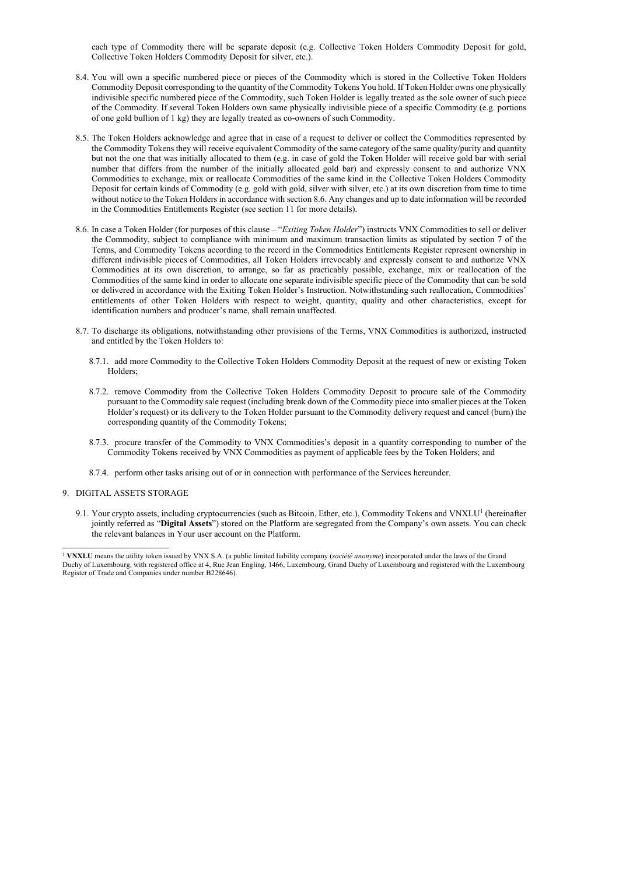each type of Commodity there will be separate deposit (e.g. Collective Token Holders Commodity Deposit for gold, Collective Token Holders Commodity Deposit for silver, etc.).

- 8.4. You will own a specific numbered piece or pieces of the Commodity which is stored in the Collective Token Holders Commodity Deposit corresponding to the quantity of the Commodity Tokens You hold. If Token Holder owns one physically indivisible specific numbered piece of the Commodity, such Token Holder is legally treated as the sole owner of such piece of the Commodity. If several Token Holders own same physically indivisible piece of a specific Commodity (e.g. portions of one gold bullion of 1 kg) they are legally treated as co-owners of such Commodity.
- 8.5. The Token Holders acknowledge and agree that in case of a request to deliver or collect the Commodities represented by the Commodity Tokens they will receive equivalent Commodity of the same category of the same quality/purity and quantity but not the one that was initially allocated to them (e.g. in case of gold the Token Holder will receive gold bar with serial number that differs from the number of the initially allocated gold bar) and expressly consent to and authorize VNX Commodities to exchange, mix or reallocate Commodities of the same kind in the Collective Token Holders Commodity Deposit for certain kinds of Commodity (e.g. gold with gold, silver with silver, etc.) at its own discretion from time to time without notice to the Token Holders in accordance with section 8.6. Any changes and up to date information will be recorded in the Commodities Entitlements Register (see section 11 for more details).
- 8.6. In case a Token Holder (for purposes of this clause "Exiting Token Holder") instructs VNX Commodities to sell or deliver the Commodity, subject to compliance with minimum and maximum transaction limits as stipulated by section 7 of the Terms, and Commodity Tokens according to the record in the Commodities Entitlements Register represent ownership in different indivisible pieces of Commodities, all Token Holders irrevocably and expressly consent to and authorize VNX Commodities at its own discretion, to arrange, so far as practicably possible, exchange, mix or reallocation of the Commodities of the same kind in order to allocate one separate indivisible specific piece of the Commodity that can be sold or delivered in accordance with the Exiting Token Holder's Instruction. Notwithstanding such reallocation, Commodities' entitlements of other Token Holders with respect to weight, quantity, quality and other characteristics, except for identification numbers and producer's name, shall remain unaffected.
- 8.7. To discharge its obligations, notwithstanding other provisions of the Terms, VNX Commodities is authorized, instructed and entitled by the Token Holders to:
	- 8.7.1. add more Commodity to the Collective Token Holders Commodity Deposit at the request of new or existing Token Holders;
	- 8.7.2. remove Commodity from the Collective Token Holders Commodity Deposit to procure sale of the Commodity pursuant to the Commodity sale request (including break down of the Commodity piece into smaller pieces at the Token Holder's request) or its delivery to the Token Holder pursuant to the Commodity delivery request and cancel (burn) the corresponding quantity of the Commodity Tokens;
	- 8.7.3. procure transfer of the Commodity to VNX Commodities's deposit in a quantity corresponding to number of the Commodity Tokens received by VNX Commodities as payment of applicable fees by the Token Holders; and
	- 8.7.4. perform other tasks arising out of or in connection with performance of the Services hereunder.

9.1. Your crypto assets, including cryptocurrencies (such as Bitcoin, Ether, etc.), Commodity Tokens and VNXLU<sup>1</sup> (hereinafter jointly referred as "Digital Assets") stored on the Platform are segregated from the Company's own assets. You can check the relevant balances in Your user account on the Platform.

#### 9. DIGITAL ASSETS STORAGE

<sup>&</sup>lt;sup>1</sup> VNXLU means the utility token issued by VNX S.A. (a public limited liability company (société anonyme) incorporated under the laws of the Grand Duchy of Luxembourg, with registered office at 4, Rue Jean Engling, 1466, Luxembourg, Grand Duchy of Luxembourg and registered with the Luxembourg Register of Trade and Companies under number B228646).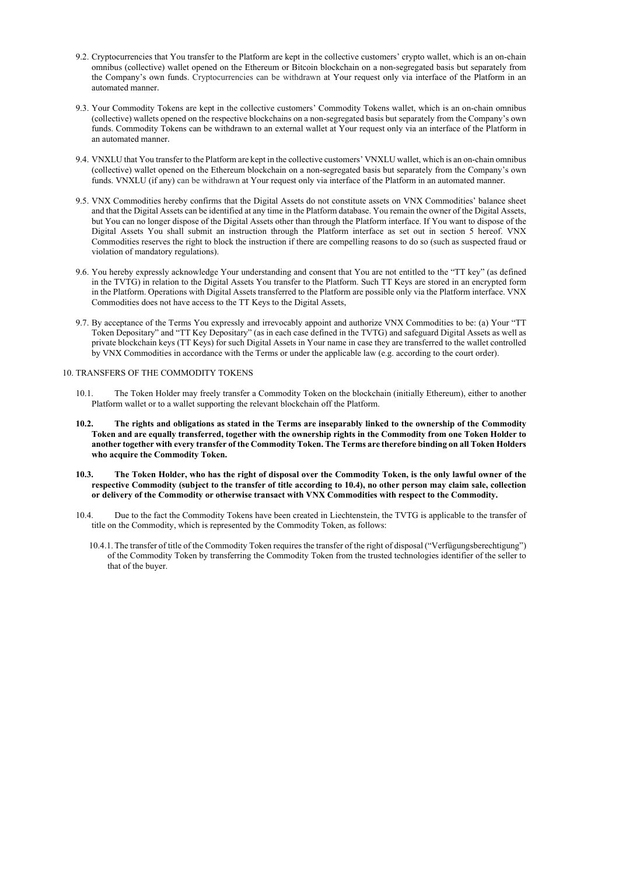- 9.2. Cryptocurrencies that You transfer to the Platform are kept in the collective customers' crypto wallet, which is an on-chain omnibus (collective) wallet opened on the Ethereum or Bitcoin blockchain on a non-segregated basis but separately from the Company's own funds. Cryptocurrencies can be withdrawn at Your request only via interface of the Platform in an automated manner.
- 9.3. Your Commodity Tokens are kept in the collective customers' Commodity Tokens wallet, which is an on-chain omnibus (collective) wallets opened on the respective blockchains on a non-segregated basis but separately from the Company's own funds. Commodity Tokens can be withdrawn to an external wallet at Your request only via an interface of the Platform in an automated manner.
- 9.4. VNXLU that You transfer to the Platform are kept in the collective customers' VNXLU wallet, which is an on-chain omnibus (collective) wallet opened on the Ethereum blockchain on a non-segregated basis but separately from the Company's own funds. VNXLU (if any) can be withdrawn at Your request only via interface of the Platform in an automated manner.
- 9.5. VNX Commodities hereby confirms that the Digital Assets do not constitute assets on VNX Commodities' balance sheet and that the Digital Assets can be identified at any time in the Platform database. You remain the owner of the Digital Assets, but You can no longer dispose of the Digital Assets other than through the Platform interface. If You want to dispose of the Digital Assets You shall submit an instruction through the Platform interface as set out in section 5 hereof. VNX Commodities reserves the right to block the instruction if there are compelling reasons to do so (such as suspected fraud or violation of mandatory regulations).
- 9.6. You hereby expressly acknowledge Your understanding and consent that You are not entitled to the "TT key" (as defined in the TVTG) in relation to the Digital Assets You transfer to the Platform. Such TT Keys are stored in an encrypted form in the Platform. Operations with Digital Assets transferred to the Platform are possible only via the Platform interface. VNX Commodities does not have access to the TT Keys to the Digital Assets,
- 9.7. By acceptance of the Terms You expressly and irrevocably appoint and authorize VNX Commodities to be: (a) Your "TT Token Depositary" and "TT Key Depositary" (as in each case defined in the TVTG) and safeguard Digital Assets as well as private blockchain keys (TT Keys) for such Digital Assets in Your name in case they are transferred to the wallet controlled by VNX Commodities in accordance with the Terms or under the applicable law (e.g. according to the court order).

#### 10. TRANSFERS OF THE COMMODITY TOKENS

- 10.1. The Token Holder may freely transfer a Commodity Token on the blockchain (initially Ethereum), either to another Platform wallet or to a wallet supporting the relevant blockchain off the Platform.
- 10.2. The rights and obligations as stated in the Terms are inseparably linked to the ownership of the Commodity Token and are equally transferred, together with the ownership rights in the Commodity from one Token Holder to another together with every transfer of the Commodity Token. The Terms are therefore binding on all Token Holders who acquire the Commodity Token.
- 10.3. The Token Holder, who has the right of disposal over the Commodity Token, is the only lawful owner of the respective Commodity (subject to the transfer of title according to 10.4), no other person may claim sale, collection or delivery of the Commodity or otherwise transact with VNX Commodities with respect to the Commodity.
- 10.4. Due to the fact the Commodity Tokens have been created in Liechtenstein, the TVTG is applicable to the transfer of title on the Commodity, which is represented by the Commodity Token, as follows:
	- 10.4.1.The transfer of title of the Commodity Token requires the transfer of the right of disposal ("Verfügungsberechtigung") of the Commodity Token by transferring the Commodity Token from the trusted technologies identifier of the seller to that of the buyer.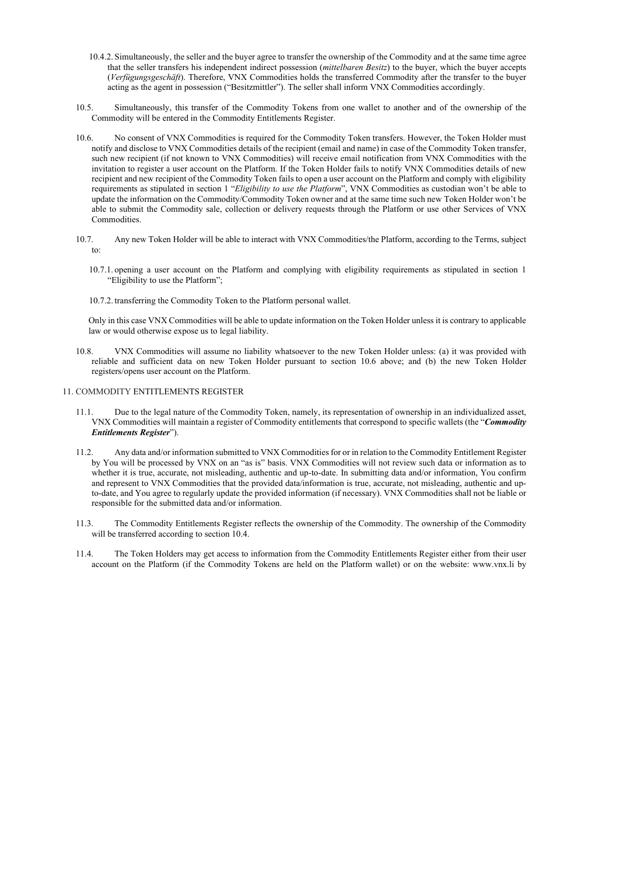- 10.4.2. Simultaneously, the seller and the buyer agree to transfer the ownership of the Commodity and at the same time agree that the seller transfers his independent indirect possession (mittelbaren Besitz) to the buyer, which the buyer accepts (Verfügungsgeschäft). Therefore, VNX Commodities holds the transferred Commodity after the transfer to the buyer acting as the agent in possession ("Besitzmittler"). The seller shall inform VNX Commodities accordingly.
- 10.5. Simultaneously, this transfer of the Commodity Tokens from one wallet to another and of the ownership of the Commodity will be entered in the Commodity Entitlements Register.
- 10.6. No consent of VNX Commodities is required for the Commodity Token transfers. However, the Token Holder must notify and disclose to VNX Commodities details of the recipient (email and name) in case of the Commodity Token transfer, such new recipient (if not known to VNX Commodities) will receive email notification from VNX Commodities with the invitation to register a user account on the Platform. If the Token Holder fails to notify VNX Commodities details of new recipient and new recipient of the Commodity Token fails to open a user account on the Platform and comply with eligibility requirements as stipulated in section 1 "Eligibility to use the Platform", VNX Commodities as custodian won't be able to update the information on the Commodity/Commodity Token owner and at the same time such new Token Holder won't be able to submit the Commodity sale, collection or delivery requests through the Platform or use other Services of VNX Commodities.
- 10.7. Any new Token Holder will be able to interact with VNX Commodities/the Platform, according to the Terms, subject to:
	- 10.7.1. opening a user account on the Platform and complying with eligibility requirements as stipulated in section 1 "Eligibility to use the Platform";
	- 10.7.2. transferring the Commodity Token to the Platform personal wallet.

Only in this case VNX Commodities will be able to update information on the Token Holder unless it is contrary to applicable law or would otherwise expose us to legal liability.

10.8. VNX Commodities will assume no liability whatsoever to the new Token Holder unless: (a) it was provided with reliable and sufficient data on new Token Holder pursuant to section 10.6 above; and (b) the new Token Holder registers/opens user account on the Platform.

#### 11. COMMODITY ENTITLEMENTS REGISTER

- 11.1. Due to the legal nature of the Commodity Token, namely, its representation of ownership in an individualized asset, VNX Commodities will maintain a register of Commodity entitlements that correspond to specific wallets (the "Commodity" Entitlements Register").
- 11.2. Any data and/or information submitted to VNX Commodities for or in relation to the Commodity Entitlement Register by You will be processed by VNX on an "as is" basis. VNX Commodities will not review such data or information as to whether it is true, accurate, not misleading, authentic and up-to-date. In submitting data and/or information, You confirm and represent to VNX Commodities that the provided data/information is true, accurate, not misleading, authentic and upto-date, and You agree to regularly update the provided information (if necessary). VNX Commodities shall not be liable or responsible for the submitted data and/or information.
- 11.3. The Commodity Entitlements Register reflects the ownership of the Commodity. The ownership of the Commodity will be transferred according to section 10.4.
- 11.4. The Token Holders may get access to information from the Commodity Entitlements Register either from their user account on the Platform (if the Commodity Tokens are held on the Platform wallet) or on the website: www.vnx.li by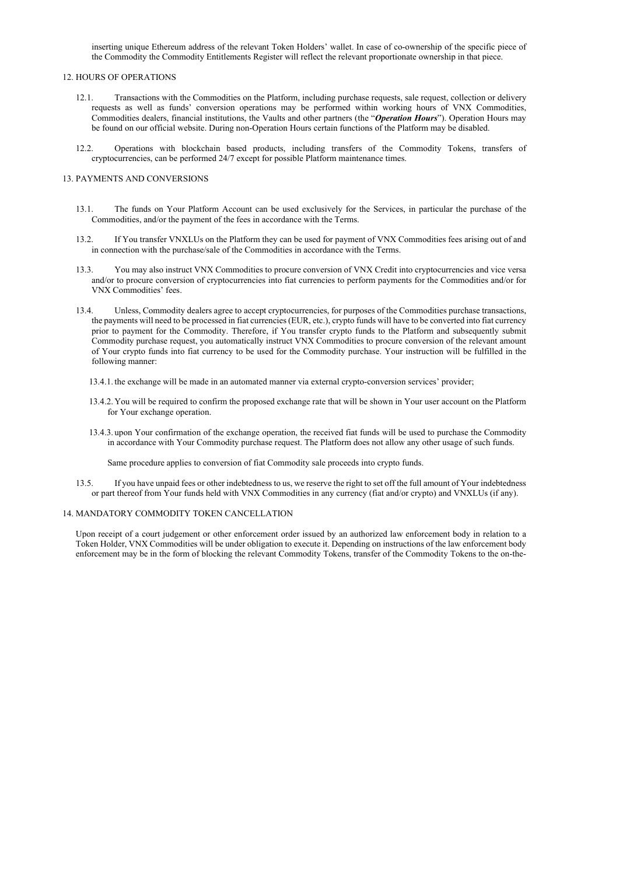inserting unique Ethereum address of the relevant Token Holders' wallet. In case of co-ownership of the specific piece of the Commodity the Commodity Entitlements Register will reflect the relevant proportionate ownership in that piece.

#### 12. HOURS OF OPERATIONS

- 12.1. Transactions with the Commodities on the Platform, including purchase requests, sale request, collection or delivery requests as well as funds' conversion operations may be performed within working hours of VNX Commodities, Commodities dealers, financial institutions, the Vaults and other partners (the "Operation Hours"). Operation Hours may be found on our official website. During non-Operation Hours certain functions of the Platform may be disabled.
- 12.2. Operations with blockchain based products, including transfers of the Commodity Tokens, transfers of cryptocurrencies, can be performed 24/7 except for possible Platform maintenance times.

### 13. PAYMENTS AND CONVERSIONS

- 13.1. The funds on Your Platform Account can be used exclusively for the Services, in particular the purchase of the Commodities, and/or the payment of the fees in accordance with the Terms.
- 13.2. If You transfer VNXLUs on the Platform they can be used for payment of VNX Commodities fees arising out of and in connection with the purchase/sale of the Commodities in accordance with the Terms.
- 13.3. You may also instruct VNX Commodities to procure conversion of VNX Credit into cryptocurrencies and vice versa and/or to procure conversion of cryptocurrencies into fiat currencies to perform payments for the Commodities and/or for VNX Commodities' fees.
- 13.4. Unless, Commodity dealers agree to accept cryptocurrencies, for purposes of the Commodities purchase transactions, the payments will need to be processed in fiat currencies (EUR, etc.), crypto funds will have to be converted into fiat currency prior to payment for the Commodity. Therefore, if You transfer crypto funds to the Platform and subsequently submit Commodity purchase request, you automatically instruct VNX Commodities to procure conversion of the relevant amount of Your crypto funds into fiat currency to be used for the Commodity purchase. Your instruction will be fulfilled in the following manner:
	- 13.4.1. the exchange will be made in an automated manner via external crypto-conversion services' provider;
	- 13.4.2. You will be required to confirm the proposed exchange rate that will be shown in Your user account on the Platform for Your exchange operation.
	- 13.4.3. upon Your confirmation of the exchange operation, the received fiat funds will be used to purchase the Commodity in accordance with Your Commodity purchase request. The Platform does not allow any other usage of such funds.

Same procedure applies to conversion of fiat Commodity sale proceeds into crypto funds.

13.5. If you have unpaid fees or other indebtedness to us, we reserve the right to set off the full amount of Your indebtedness or part thereof from Your funds held with VNX Commodities in any currency (fiat and/or crypto) and VNXLUs (if any).

#### 14. MANDATORY COMMODITY TOKEN CANCELLATION

Upon receipt of a court judgement or other enforcement order issued by an authorized law enforcement body in relation to a Token Holder, VNX Commodities will be under obligation to execute it. Depending on instructions of the law enforcement body enforcement may be in the form of blocking the relevant Commodity Tokens, transfer of the Commodity Tokens to the on-the-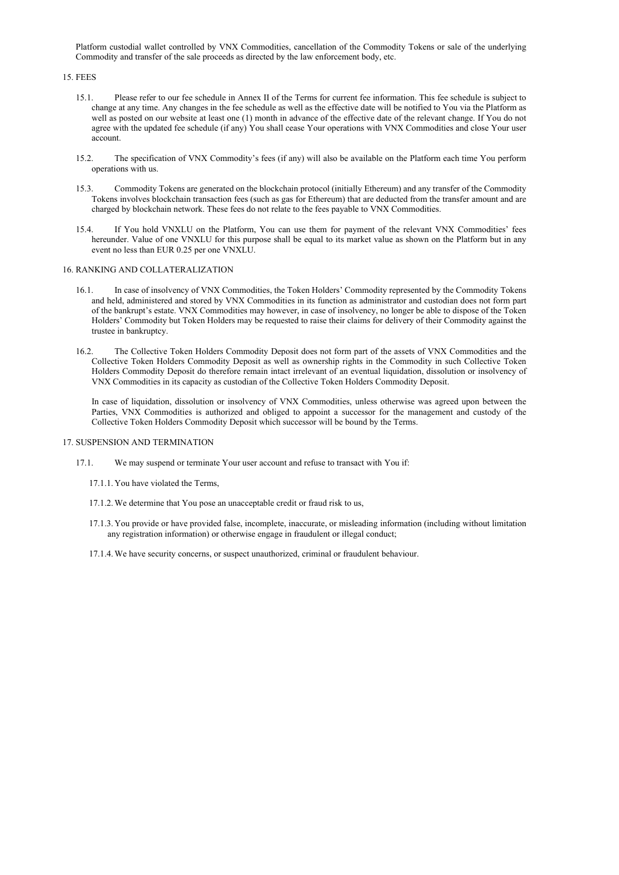Platform custodial wallet controlled by VNX Commodities, cancellation of the Commodity Tokens or sale of the underlying Commodity and transfer of the sale proceeds as directed by the law enforcement body, etc.

15. FEES

- 15.1. Please refer to our fee schedule in Annex II of the Terms for current fee information. This fee schedule is subject to change at any time. Any changes in the fee schedule as well as the effective date will be notified to You via the Platform as well as posted on our website at least one (1) month in advance of the effective date of the relevant change. If You do not agree with the updated fee schedule (if any) You shall cease Your operations with VNX Commodities and close Your user account.
- 15.2. The specification of VNX Commodity's fees (if any) will also be available on the Platform each time You perform operations with us.
- 15.3. Commodity Tokens are generated on the blockchain protocol (initially Ethereum) and any transfer of the Commodity Tokens involves blockchain transaction fees (such as gas for Ethereum) that are deducted from the transfer amount and are charged by blockchain network. These fees do not relate to the fees payable to VNX Commodities.
- 15.4. If You hold VNXLU on the Platform, You can use them for payment of the relevant VNX Commodities' fees hereunder. Value of one VNXLU for this purpose shall be equal to its market value as shown on the Platform but in any event no less than EUR 0.25 per one VNXLU.

### 16. RANKING AND COLLATERALIZATION

- 16.1. In case of insolvency of VNX Commodities, the Token Holders' Commodity represented by the Commodity Tokens and held, administered and stored by VNX Commodities in its function as administrator and custodian does not form part of the bankrupt's estate. VNX Commodities may however, in case of insolvency, no longer be able to dispose of the Token Holders' Commodity but Token Holders may be requested to raise their claims for delivery of their Commodity against the trustee in bankruptcy.
- 16.2. The Collective Token Holders Commodity Deposit does not form part of the assets of VNX Commodities and the Collective Token Holders Commodity Deposit as well as ownership rights in the Commodity in such Collective Token Holders Commodity Deposit do therefore remain intact irrelevant of an eventual liquidation, dissolution or insolvency of VNX Commodities in its capacity as custodian of the Collective Token Holders Commodity Deposit.

In case of liquidation, dissolution or insolvency of VNX Commodities, unless otherwise was agreed upon between the Parties, VNX Commodities is authorized and obliged to appoint a successor for the management and custody of the Collective Token Holders Commodity Deposit which successor will be bound by the Terms.

#### 17. SUSPENSION AND TERMINATION

- 17.1. We may suspend or terminate Your user account and refuse to transact with You if:
	- 17.1.1. You have violated the Terms,
	- 17.1.2.We determine that You pose an unacceptable credit or fraud risk to us,
	- 17.1.3. You provide or have provided false, incomplete, inaccurate, or misleading information (including without limitation any registration information) or otherwise engage in fraudulent or illegal conduct;
	- 17.1.4.We have security concerns, or suspect unauthorized, criminal or fraudulent behaviour.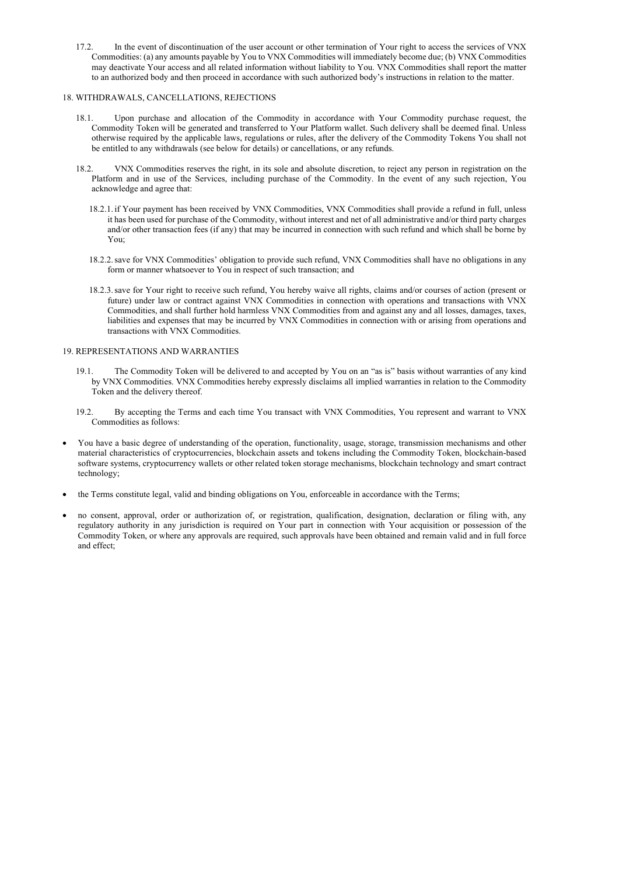17.2. In the event of discontinuation of the user account or other termination of Your right to access the services of VNX Commodities: (a) any amounts payable by You to VNX Commodities will immediately become due; (b) VNX Commodities may deactivate Your access and all related information without liability to You. VNX Commodities shall report the matter to an authorized body and then proceed in accordance with such authorized body's instructions in relation to the matter.

### 18. WITHDRAWALS, CANCELLATIONS, REJECTIONS

- 18.1. Upon purchase and allocation of the Commodity in accordance with Your Commodity purchase request, the Commodity Token will be generated and transferred to Your Platform wallet. Such delivery shall be deemed final. Unless otherwise required by the applicable laws, regulations or rules, after the delivery of the Commodity Tokens You shall not be entitled to any withdrawals (see below for details) or cancellations, or any refunds.
- 18.2. VNX Commodities reserves the right, in its sole and absolute discretion, to reject any person in registration on the Platform and in use of the Services, including purchase of the Commodity. In the event of any such rejection, You acknowledge and agree that:
	- 18.2.1. if Your payment has been received by VNX Commodities, VNX Commodities shall provide a refund in full, unless it has been used for purchase of the Commodity, without interest and net of all administrative and/or third party charges and/or other transaction fees (if any) that may be incurred in connection with such refund and which shall be borne by You;
	- 18.2.2.save for VNX Commodities' obligation to provide such refund, VNX Commodities shall have no obligations in any form or manner whatsoever to You in respect of such transaction; and
	- 18.2.3.save for Your right to receive such refund, You hereby waive all rights, claims and/or courses of action (present or future) under law or contract against VNX Commodities in connection with operations and transactions with VNX Commodities, and shall further hold harmless VNX Commodities from and against any and all losses, damages, taxes, liabilities and expenses that may be incurred by VNX Commodities in connection with or arising from operations and transactions with VNX Commodities.

## 19. REPRESENTATIONS AND WARRANTIES

- 19.1. The Commodity Token will be delivered to and accepted by You on an "as is" basis without warranties of any kind by VNX Commodities. VNX Commodities hereby expressly disclaims all implied warranties in relation to the Commodity Token and the delivery thereof.
- 19.2. By accepting the Terms and each time You transact with VNX Commodities, You represent and warrant to VNX Commodities as follows:
- You have a basic degree of understanding of the operation, functionality, usage, storage, transmission mechanisms and other material characteristics of cryptocurrencies, blockchain assets and tokens including the Commodity Token, blockchain-based software systems, cryptocurrency wallets or other related token storage mechanisms, blockchain technology and smart contract technology;
- the Terms constitute legal, valid and binding obligations on You, enforceable in accordance with the Terms;
- no consent, approval, order or authorization of, or registration, qualification, designation, declaration or filing with, any regulatory authority in any jurisdiction is required on Your part in connection with Your acquisition or possession of the Commodity Token, or where any approvals are required, such approvals have been obtained and remain valid and in full force and effect;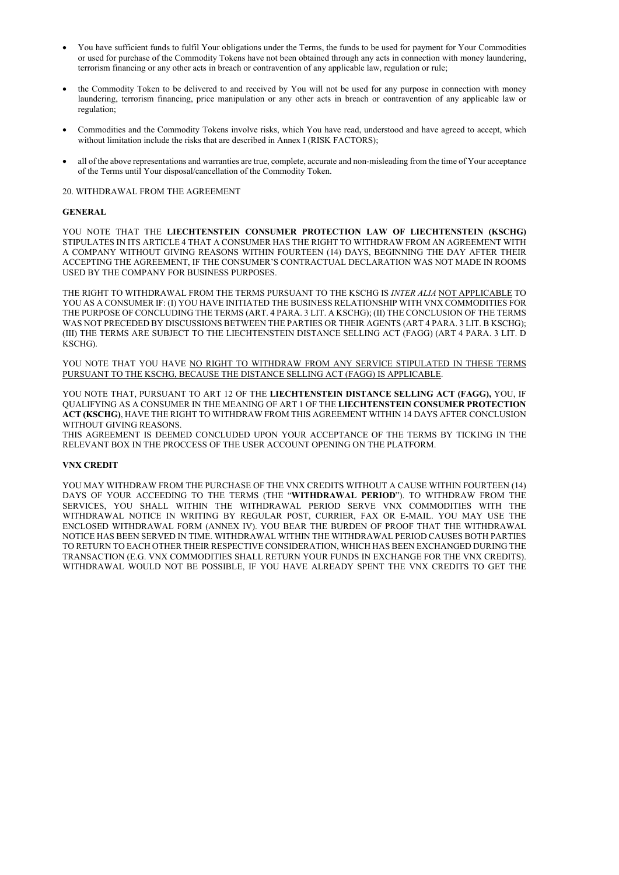- You have sufficient funds to fulfil Your obligations under the Terms, the funds to be used for payment for Your Commodities or used for purchase of the Commodity Tokens have not been obtained through any acts in connection with money laundering, terrorism financing or any other acts in breach or contravention of any applicable law, regulation or rule;
- the Commodity Token to be delivered to and received by You will not be used for any purpose in connection with money laundering, terrorism financing, price manipulation or any other acts in breach or contravention of any applicable law or regulation;
- Commodities and the Commodity Tokens involve risks, which You have read, understood and have agreed to accept, which without limitation include the risks that are described in Annex I (RISK FACTORS);
- all of the above representations and warranties are true, complete, accurate and non-misleading from the time of Your acceptance of the Terms until Your disposal/cancellation of the Commodity Token.

YOU NOTE THAT THE LIECHTENSTEIN CONSUMER PROTECTION LAW OF LIECHTENSTEIN (KSCHG) STIPULATES IN ITS ARTICLE 4 THAT A CONSUMER HAS THE RIGHT TO WITHDRAW FROM AN AGREEMENT WITH A COMPANY WITHOUT GIVING REASONS WITHIN FOURTEEN (14) DAYS, BEGINNING THE DAY AFTER THEIR ACCEPTING THE AGREEMENT, IF THE CONSUMER'S CONTRACTUAL DECLARATION WAS NOT MADE IN ROOMS USED BY THE COMPANY FOR BUSINESS PURPOSES.

20. WITHDRAWAL FROM THE AGREEMENT

### GENERAL

YOU NOTE THAT, PURSUANT TO ART 12 OF THE LIECHTENSTEIN DISTANCE SELLING ACT (FAGG), YOU, IF QUALIFYING AS A CONSUMER IN THE MEANING OF ART 1 OF THE LIECHTENSTEIN CONSUMER PROTECTION ACT (KSCHG), HAVE THE RIGHT TO WITHDRAW FROM THIS AGREEMENT WITHIN 14 DAYS AFTER CONCLUSION WITHOUT GIVING REASONS.

THE RIGHT TO WITHDRAWAL FROM THE TERMS PURSUANT TO THE KSCHG IS INTER ALIA NOT APPLICABLE TO YOU AS A CONSUMER IF: (I) YOU HAVE INITIATED THE BUSINESS RELATIONSHIP WITH VNX COMMODITIES FOR THE PURPOSE OF CONCLUDING THE TERMS (ART. 4 PARA. 3 LIT. A KSCHG); (II) THE CONCLUSION OF THE TERMS WAS NOT PRECEDED BY DISCUSSIONS BETWEEN THE PARTIES OR THEIR AGENTS (ART 4 PARA. 3 LIT. B KSCHG); (III) THE TERMS ARE SUBJECT TO THE LIECHTENSTEIN DISTANCE SELLING ACT (FAGG) (ART 4 PARA. 3 LIT. D KSCHG).

YOU NOTE THAT YOU HAVE NO RIGHT TO WITHDRAW FROM ANY SERVICE STIPULATED IN THESE TERMS PURSUANT TO THE KSCHG, BECAUSE THE DISTANCE SELLING ACT (FAGG) IS APPLICABLE.

THIS AGREEMENT IS DEEMED CONCLUDED UPON YOUR ACCEPTANCE OF THE TERMS BY TICKING IN THE RELEVANT BOX IN THE PROCCESS OF THE USER ACCOUNT OPENING ON THE PLATFORM.

#### VNX CREDIT

YOU MAY WITHDRAW FROM THE PURCHASE OF THE VNX CREDITS WITHOUT A CAUSE WITHIN FOURTEEN (14) DAYS OF YOUR ACCEEDING TO THE TERMS (THE "WITHDRAWAL PERIOD"). TO WITHDRAW FROM THE SERVICES, YOU SHALL WITHIN THE WITHDRAWAL PERIOD SERVE VNX COMMODITIES WITH THE WITHDRAWAL NOTICE IN WRITING BY REGULAR POST, CURRIER, FAX OR E-MAIL. YOU MAY USE THE ENCLOSED WITHDRAWAL FORM (ANNEX IV). YOU BEAR THE BURDEN OF PROOF THAT THE WITHDRAWAL NOTICE HAS BEEN SERVED IN TIME. WITHDRAWAL WITHIN THE WITHDRAWAL PERIOD CAUSES BOTH PARTIES TO RETURN TO EACH OTHER THEIR RESPECTIVE CONSIDERATION, WHICH HAS BEEN EXCHANGED DURING THE TRANSACTION (E.G. VNX COMMODITIES SHALL RETURN YOUR FUNDS IN EXCHANGE FOR THE VNX CREDITS). WITHDRAWAL WOULD NOT BE POSSIBLE, IF YOU HAVE ALREADY SPENT THE VNX CREDITS TO GET THE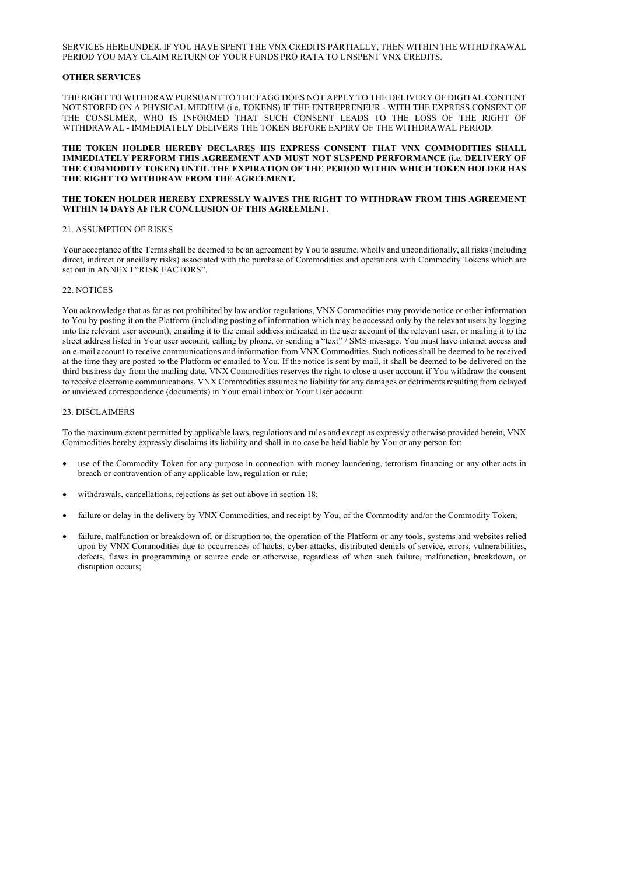## SERVICES HEREUNDER. IF YOU HAVE SPENT THE VNX CREDITS PARTIALLY, THEN WITHIN THE WITHDTRAWAL PERIOD YOU MAY CLAIM RETURN OF YOUR FUNDS PRO RATA TO UNSPENT VNX CREDITS.

## OTHER SERVICES

THE RIGHT TO WITHDRAW PURSUANT TO THE FAGG DOES NOT APPLY TO THE DELIVERY OF DIGITAL CONTENT NOT STORED ON A PHYSICAL MEDIUM (i.e. TOKENS) IF THE ENTREPRENEUR - WITH THE EXPRESS CONSENT OF THE CONSUMER, WHO IS INFORMED THAT SUCH CONSENT LEADS TO THE LOSS OF THE RIGHT OF WITHDRAWAL - IMMEDIATELY DELIVERS THE TOKEN BEFORE EXPIRY OF THE WITHDRAWAL PERIOD.

#### THE TOKEN HOLDER HEREBY DECLARES HIS EXPRESS CONSENT THAT VNX COMMODITIES SHALL IMMEDIATELY PERFORM THIS AGREEMENT AND MUST NOT SUSPEND PERFORMANCE (i.e. DELIVERY OF THE COMMODITY TOKEN) UNTIL THE EXPIRATION OF THE PERIOD WITHIN WHICH TOKEN HOLDER HAS THE RIGHT TO WITHDRAW FROM THE AGREEMENT.

#### THE TOKEN HOLDER HEREBY EXPRESSLY WAIVES THE RIGHT TO WITHDRAW FROM THIS AGREEMENT WITHIN 14 DAYS AFTER CONCLUSION OF THIS AGREEMENT.

#### 21. ASSUMPTION OF RISKS

Your acceptance of the Terms shall be deemed to be an agreement by You to assume, wholly and unconditionally, all risks (including direct, indirect or ancillary risks) associated with the purchase of Commodities and operations with Commodity Tokens which are set out in ANNEX I "RISK FACTORS".

#### 22. NOTICES

You acknowledge that as far as not prohibited by law and/or regulations, VNX Commodities may provide notice or other information to You by posting it on the Platform (including posting of information which may be accessed only by the relevant users by logging into the relevant user account), emailing it to the email address indicated in the user account of the relevant user, or mailing it to the street address listed in Your user account, calling by phone, or sending a "text" / SMS message. You must have internet access and an e-mail account to receive communications and information from VNX Commodities. Such notices shall be deemed to be received at the time they are posted to the Platform or emailed to You. If the notice is sent by mail, it shall be deemed to be delivered on the third business day from the mailing date. VNX Commodities reserves the right to close a user account if You withdraw the consent to receive electronic communications. VNX Commodities assumes no liability for any damages or detriments resulting from delayed or unviewed correspondence (documents) in Your email inbox or Your User account.

#### 23. DISCLAIMERS

To the maximum extent permitted by applicable laws, regulations and rules and except as expressly otherwise provided herein, VNX Commodities hereby expressly disclaims its liability and shall in no case be held liable by You or any person for:

- use of the Commodity Token for any purpose in connection with money laundering, terrorism financing or any other acts in breach or contravention of any applicable law, regulation or rule;
- withdrawals, cancellations, rejections as set out above in section 18;
- failure or delay in the delivery by VNX Commodities, and receipt by You, of the Commodity and/or the Commodity Token;
- failure, malfunction or breakdown of, or disruption to, the operation of the Platform or any tools, systems and websites relied upon by VNX Commodities due to occurrences of hacks, cyber-attacks, distributed denials of service, errors, vulnerabilities, defects, flaws in programming or source code or otherwise, regardless of when such failure, malfunction, breakdown, or disruption occurs;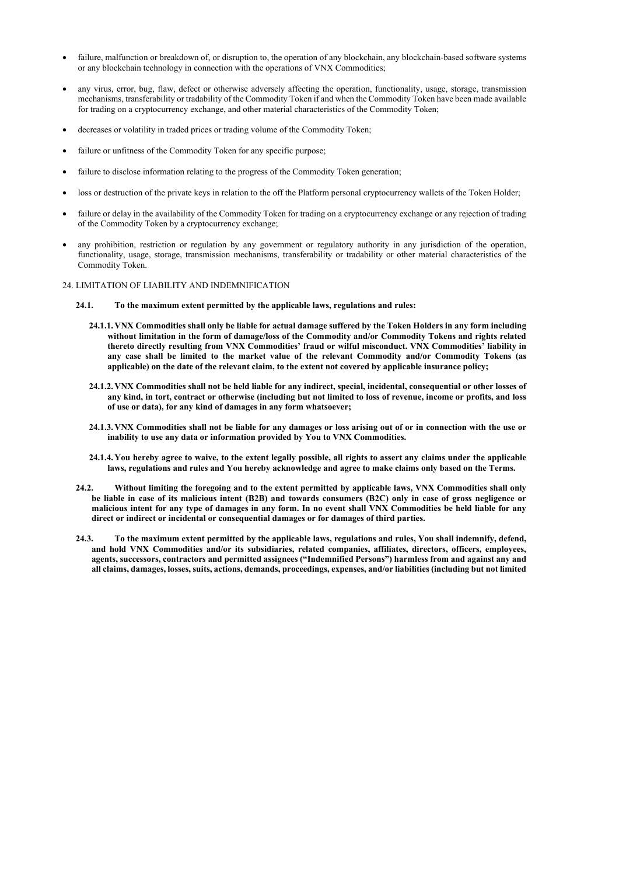- failure, malfunction or breakdown of, or disruption to, the operation of any blockchain, any blockchain-based software systems or any blockchain technology in connection with the operations of VNX Commodities;
- any virus, error, bug, flaw, defect or otherwise adversely affecting the operation, functionality, usage, storage, transmission mechanisms, transferability or tradability of the Commodity Token if and when the Commodity Token have been made available for trading on a cryptocurrency exchange, and other material characteristics of the Commodity Token;
- decreases or volatility in traded prices or trading volume of the Commodity Token;
- failure or unfitness of the Commodity Token for any specific purpose;
- failure to disclose information relating to the progress of the Commodity Token generation;
- loss or destruction of the private keys in relation to the off the Platform personal cryptocurrency wallets of the Token Holder;
- failure or delay in the availability of the Commodity Token for trading on a cryptocurrency exchange or any rejection of trading of the Commodity Token by a cryptocurrency exchange;
- any prohibition, restriction or regulation by any government or regulatory authority in any jurisdiction of the operation, functionality, usage, storage, transmission mechanisms, transferability or tradability or other material characteristics of the Commodity Token.

#### 24. LIMITATION OF LIABILITY AND INDEMNIFICATION

- 24.1. To the maximum extent permitted by the applicable laws, regulations and rules:
	- 24.1.1. VNX Commodities shall only be liable for actual damage suffered by the Token Holders in any form including without limitation in the form of damage/loss of the Commodity and/or Commodity Tokens and rights related thereto directly resulting from VNX Commodities' fraud or wilful misconduct. VNX Commodities' liability in any case shall be limited to the market value of the relevant Commodity and/or Commodity Tokens (as applicable) on the date of the relevant claim, to the extent not covered by applicable insurance policy;
	- 24.1.2. VNX Commodities shall not be held liable for any indirect, special, incidental, consequential or other losses of any kind, in tort, contract or otherwise (including but not limited to loss of revenue, income or profits, and loss of use or data), for any kind of damages in any form whatsoever;
	- 24.1.3. VNX Commodities shall not be liable for any damages or loss arising out of or in connection with the use or inability to use any data or information provided by You to VNX Commodities.
	- 24.1.4. You hereby agree to waive, to the extent legally possible, all rights to assert any claims under the applicable laws, regulations and rules and You hereby acknowledge and agree to make claims only based on the Terms.
- 24.2. Without limiting the foregoing and to the extent permitted by applicable laws, VNX Commodities shall only be liable in case of its malicious intent (B2B) and towards consumers (B2C) only in case of gross negligence or malicious intent for any type of damages in any form. In no event shall VNX Commodities be held liable for any direct or indirect or incidental or consequential damages or for damages of third parties.
- 24.3. To the maximum extent permitted by the applicable laws, regulations and rules, You shall indemnify, defend, and hold VNX Commodities and/or its subsidiaries, related companies, affiliates, directors, officers, employees, agents, successors, contractors and permitted assignees ("Indemnified Persons") harmless from and against any and all claims, damages, losses, suits, actions, demands, proceedings, expenses, and/or liabilities (including but not limited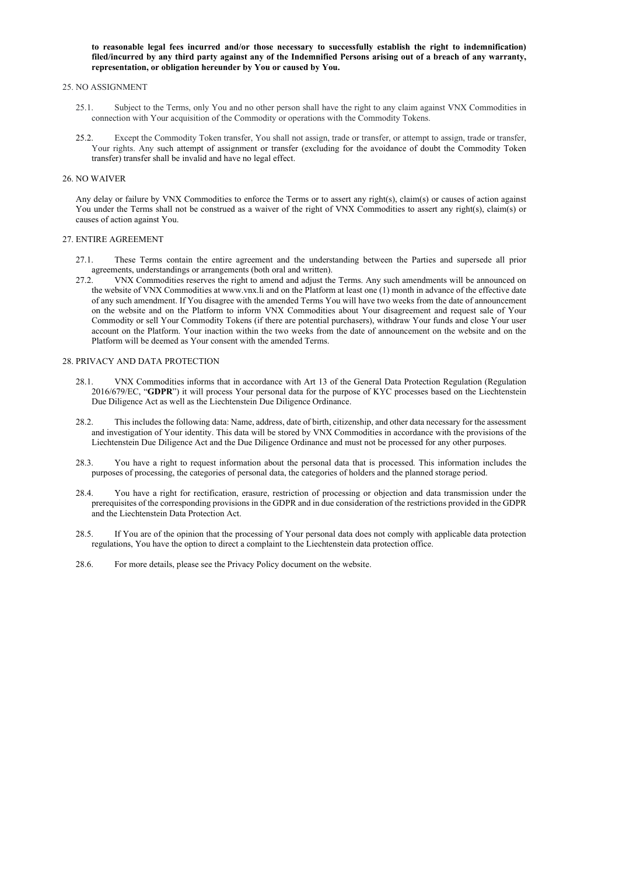to reasonable legal fees incurred and/or those necessary to successfully establish the right to indemnification) filed/incurred by any third party against any of the Indemnified Persons arising out of a breach of any warranty, representation, or obligation hereunder by You or caused by You.

#### 25. NO ASSIGNMENT

- 25.1. Subject to the Terms, only You and no other person shall have the right to any claim against VNX Commodities in connection with Your acquisition of the Commodity or operations with the Commodity Tokens.
- 25.2. Except the Commodity Token transfer, You shall not assign, trade or transfer, or attempt to assign, trade or transfer, Your rights. Any such attempt of assignment or transfer (excluding for the avoidance of doubt the Commodity Token transfer) transfer shall be invalid and have no legal effect.

#### 26. NO WAIVER

Any delay or failure by VNX Commodities to enforce the Terms or to assert any right(s), claim(s) or causes of action against You under the Terms shall not be construed as a waiver of the right of VNX Commodities to assert any right(s), claim(s) or causes of action against You.

#### 27. ENTIRE AGREEMENT

- 27.1. These Terms contain the entire agreement and the understanding between the Parties and supersede all prior agreements, understandings or arrangements (both oral and written).
- 27.2. VNX Commodities reserves the right to amend and adjust the Terms. Any such amendments will be announced on the website of VNX Commodities at www.vnx.li and on the Platform at least one (1) month in advance of the effective date of any such amendment. If You disagree with the amended Terms You will have two weeks from the date of announcement on the website and on the Platform to inform VNX Commodities about Your disagreement and request sale of Your Commodity or sell Your Commodity Tokens (if there are potential purchasers), withdraw Your funds and close Your user account on the Platform. Your inaction within the two weeks from the date of announcement on the website and on the Platform will be deemed as Your consent with the amended Terms.

#### 28. PRIVACY AND DATA PROTECTION

- 28.1. VNX Commodities informs that in accordance with Art 13 of the General Data Protection Regulation (Regulation 2016/679/EC, "GDPR") it will process Your personal data for the purpose of KYC processes based on the Liechtenstein Due Diligence Act as well as the Liechtenstein Due Diligence Ordinance.
- 28.2. This includes the following data: Name, address, date of birth, citizenship, and other data necessary for the assessment and investigation of Your identity. This data will be stored by VNX Commodities in accordance with the provisions of the Liechtenstein Due Diligence Act and the Due Diligence Ordinance and must not be processed for any other purposes.
- 28.3. You have a right to request information about the personal data that is processed. This information includes the purposes of processing, the categories of personal data, the categories of holders and the planned storage period.
- 28.4. You have a right for rectification, erasure, restriction of processing or objection and data transmission under the prerequisites of the corresponding provisions in the GDPR and in due consideration of the restrictions provided in the GDPR and the Liechtenstein Data Protection Act.
- 28.5. If You are of the opinion that the processing of Your personal data does not comply with applicable data protection regulations, You have the option to direct a complaint to the Liechtenstein data protection office.
- 28.6. For more details, please see the Privacy Policy document on the website.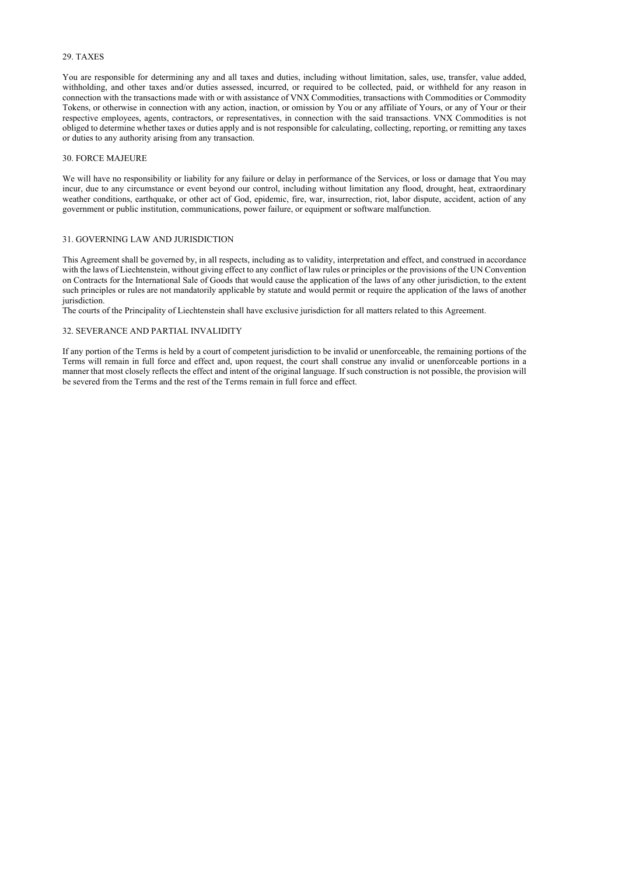### 29. TAXES

You are responsible for determining any and all taxes and duties, including without limitation, sales, use, transfer, value added, withholding, and other taxes and/or duties assessed, incurred, or required to be collected, paid, or withheld for any reason in connection with the transactions made with or with assistance of VNX Commodities, transactions with Commodities or Commodity Tokens, or otherwise in connection with any action, inaction, or omission by You or any affiliate of Yours, or any of Your or their respective employees, agents, contractors, or representatives, in connection with the said transactions. VNX Commodities is not obliged to determine whether taxes or duties apply and is not responsible for calculating, collecting, reporting, or remitting any taxes or duties to any authority arising from any transaction.

We will have no responsibility or liability for any failure or delay in performance of the Services, or loss or damage that You may incur, due to any circumstance or event beyond our control, including without limitation any flood, drought, heat, extraordinary weather conditions, earthquake, or other act of God, epidemic, fire, war, insurrection, riot, labor dispute, accident, action of any government or public institution, communications, power failure, or equipment or software malfunction.

#### 30. FORCE MAJEURE

### 31. GOVERNING LAW AND JURISDICTION

This Agreement shall be governed by, in all respects, including as to validity, interpretation and effect, and construed in accordance with the laws of Liechtenstein, without giving effect to any conflict of law rules or principles or the provisions of the UN Convention on Contracts for the International Sale of Goods that would cause the application of the laws of any other jurisdiction, to the extent such principles or rules are not mandatorily applicable by statute and would permit or require the application of the laws of another jurisdiction.

The courts of the Principality of Liechtenstein shall have exclusive jurisdiction for all matters related to this Agreement.

### 32. SEVERANCE AND PARTIAL INVALIDITY

If any portion of the Terms is held by a court of competent jurisdiction to be invalid or unenforceable, the remaining portions of the Terms will remain in full force and effect and, upon request, the court shall construe any invalid or unenforceable portions in a manner that most closely reflects the effect and intent of the original language. If such construction is not possible, the provision will be severed from the Terms and the rest of the Terms remain in full force and effect.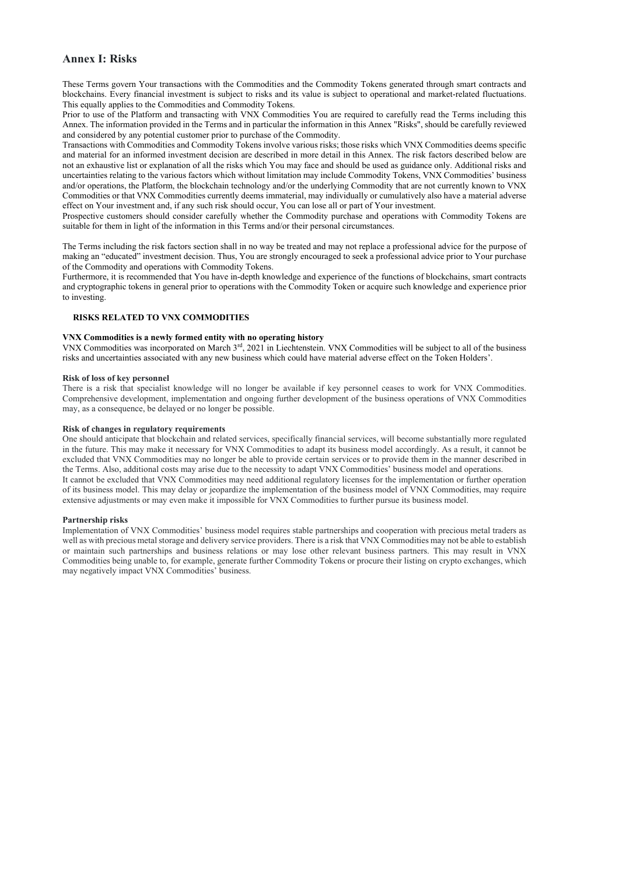## Annex I: Risks

These Terms govern Your transactions with the Commodities and the Commodity Tokens generated through smart contracts and blockchains. Every financial investment is subject to risks and its value is subject to operational and market-related fluctuations. This equally applies to the Commodities and Commodity Tokens.

Prior to use of the Platform and transacting with VNX Commodities You are required to carefully read the Terms including this Annex. The information provided in the Terms and in particular the information in this Annex "Risks", should be carefully reviewed and considered by any potential customer prior to purchase of the Commodity.

Transactions with Commodities and Commodity Tokens involve various risks; those risks which VNX Commodities deems specific and material for an informed investment decision are described in more detail in this Annex. The risk factors described below are not an exhaustive list or explanation of all the risks which You may face and should be used as guidance only. Additional risks and uncertainties relating to the various factors which without limitation may include Commodity Tokens, VNX Commodities' business and/or operations, the Platform, the blockchain technology and/or the underlying Commodity that are not currently known to VNX Commodities or that VNX Commodities currently deems immaterial, may individually or cumulatively also have a material adverse effect on Your investment and, if any such risk should occur, You can lose all or part of Your investment.

Prospective customers should consider carefully whether the Commodity purchase and operations with Commodity Tokens are suitable for them in light of the information in this Terms and/or their personal circumstances.

The Terms including the risk factors section shall in no way be treated and may not replace a professional advice for the purpose of making an "educated" investment decision. Thus, You are strongly encouraged to seek a professional advice prior to Your purchase of the Commodity and operations with Commodity Tokens.

Furthermore, it is recommended that You have in-depth knowledge and experience of the functions of blockchains, smart contracts and cryptographic tokens in general prior to operations with the Commodity Token or acquire such knowledge and experience prior to investing.

### RISKS RELATED TO VNX COMMODITIES

#### VNX Commodities is a newly formed entity with no operating history

VNX Commodities was incorporated on March 3rd, 2021 in Liechtenstein. VNX Commodities will be subject to all of the business risks and uncertainties associated with any new business which could have material adverse effect on the Token Holders'.

#### Risk of loss of key personnel

There is a risk that specialist knowledge will no longer be available if key personnel ceases to work for VNX Commodities. Comprehensive development, implementation and ongoing further development of the business operations of VNX Commodities may, as a consequence, be delayed or no longer be possible.

#### Risk of changes in regulatory requirements

One should anticipate that blockchain and related services, specifically financial services, will become substantially more regulated in the future. This may make it necessary for VNX Commodities to adapt its business model accordingly. As a result, it cannot be excluded that VNX Commodities may no longer be able to provide certain services or to provide them in the manner described in the Terms. Also, additional costs may arise due to the necessity to adapt VNX Commodities' business model and operations. It cannot be excluded that VNX Commodities may need additional regulatory licenses for the implementation or further operation of its business model. This may delay or jeopardize the implementation of the business model of VNX Commodities, may require extensive adjustments or may even make it impossible for VNX Commodities to further pursue its business model.

#### Partnership risks

Implementation of VNX Commodities' business model requires stable partnerships and cooperation with precious metal traders as well as with precious metal storage and delivery service providers. There is a risk that VNX Commodities may not be able to establish or maintain such partnerships and business relations or may lose other relevant business partners. This may result in VNX Commodities being unable to, for example, generate further Commodity Tokens or procure their listing on crypto exchanges, which may negatively impact VNX Commodities' business.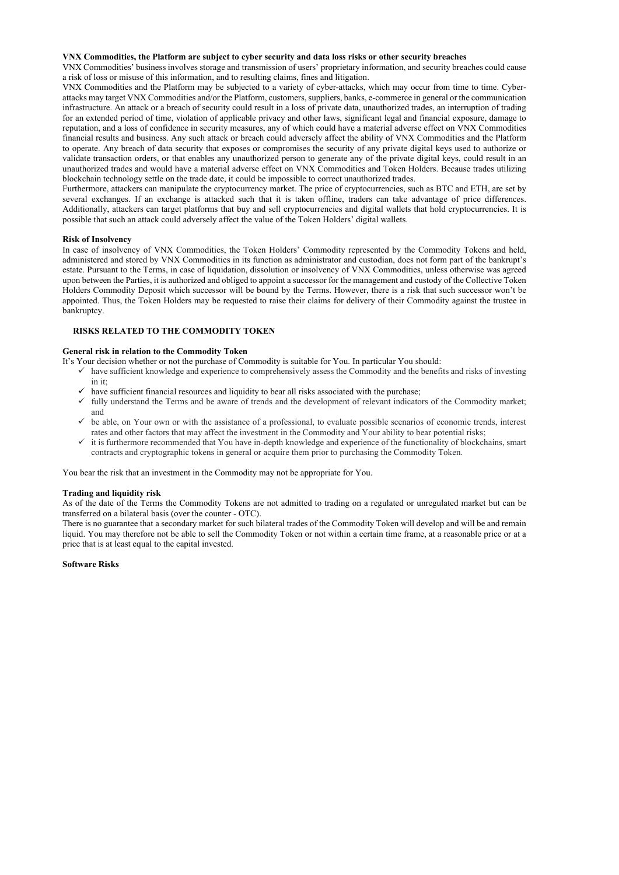#### VNX Commodities, the Platform are subject to cyber security and data loss risks or other security breaches

VNX Commodities' business involves storage and transmission of users' proprietary information, and security breaches could cause a risk of loss or misuse of this information, and to resulting claims, fines and litigation.

VNX Commodities and the Platform may be subjected to a variety of cyber-attacks, which may occur from time to time. Cyberattacks may target VNX Commodities and/or the Platform, customers, suppliers, banks, e-commerce in general or the communication infrastructure. An attack or a breach of security could result in a loss of private data, unauthorized trades, an interruption of trading for an extended period of time, violation of applicable privacy and other laws, significant legal and financial exposure, damage to reputation, and a loss of confidence in security measures, any of which could have a material adverse effect on VNX Commodities financial results and business. Any such attack or breach could adversely affect the ability of VNX Commodities and the Platform to operate. Any breach of data security that exposes or compromises the security of any private digital keys used to authorize or validate transaction orders, or that enables any unauthorized person to generate any of the private digital keys, could result in an unauthorized trades and would have a material adverse effect on VNX Commodities and Token Holders. Because trades utilizing blockchain technology settle on the trade date, it could be impossible to correct unauthorized trades.

Furthermore, attackers can manipulate the cryptocurrency market. The price of cryptocurrencies, such as BTC and ETH, are set by several exchanges. If an exchange is attacked such that it is taken offline, traders can take advantage of price differences. Additionally, attackers can target platforms that buy and sell cryptocurrencies and digital wallets that hold cryptocurrencies. It is possible that such an attack could adversely affect the value of the Token Holders' digital wallets.

- $\checkmark$  have sufficient knowledge and experience to comprehensively assess the Commodity and the benefits and risks of investing in it;
- $\checkmark$  have sufficient financial resources and liquidity to bear all risks associated with the purchase;
- $\checkmark$  fully understand the Terms and be aware of trends and the development of relevant indicators of the Commodity market; and
- $\checkmark$  be able, on Your own or with the assistance of a professional, to evaluate possible scenarios of economic trends, interest rates and other factors that may affect the investment in the Commodity and Your ability to bear potential risks;
- $\checkmark$  it is furthermore recommended that You have in-depth knowledge and experience of the functionality of blockchains, smart contracts and cryptographic tokens in general or acquire them prior to purchasing the Commodity Token.

### Risk of Insolvency

In case of insolvency of VNX Commodities, the Token Holders' Commodity represented by the Commodity Tokens and held, administered and stored by VNX Commodities in its function as administrator and custodian, does not form part of the bankrupt's estate. Pursuant to the Terms, in case of liquidation, dissolution or insolvency of VNX Commodities, unless otherwise was agreed upon between the Parties, it is authorized and obliged to appoint a successor for the management and custody of the Collective Token Holders Commodity Deposit which successor will be bound by the Terms. However, there is a risk that such successor won't be appointed. Thus, the Token Holders may be requested to raise their claims for delivery of their Commodity against the trustee in bankruptcy.

## RISKS RELATED TO THE COMMODITY TOKEN

#### General risk in relation to the Commodity Token

It's Your decision whether or not the purchase of Commodity is suitable for You. In particular You should:

You bear the risk that an investment in the Commodity may not be appropriate for You.

#### Trading and liquidity risk

As of the date of the Terms the Commodity Tokens are not admitted to trading on a regulated or unregulated market but can be transferred on a bilateral basis (over the counter - OTC).

There is no guarantee that a secondary market for such bilateral trades of the Commodity Token will develop and will be and remain liquid. You may therefore not be able to sell the Commodity Token or not within a certain time frame, at a reasonable price or at a price that is at least equal to the capital invested.

#### Software Risks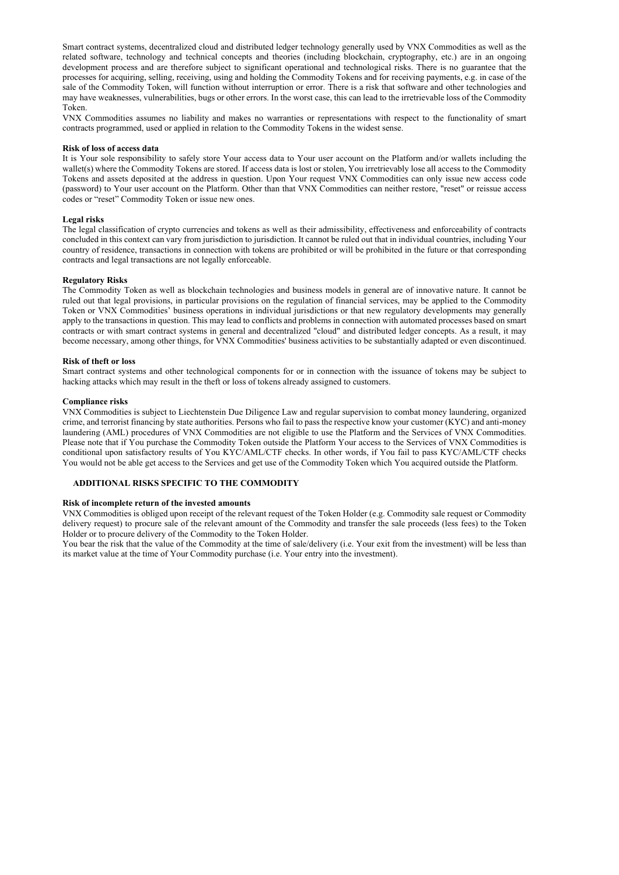Smart contract systems, decentralized cloud and distributed ledger technology generally used by VNX Commodities as well as the related software, technology and technical concepts and theories (including blockchain, cryptography, etc.) are in an ongoing development process and are therefore subject to significant operational and technological risks. There is no guarantee that the processes for acquiring, selling, receiving, using and holding the Commodity Tokens and for receiving payments, e.g. in case of the sale of the Commodity Token, will function without interruption or error. There is a risk that software and other technologies and may have weaknesses, vulnerabilities, bugs or other errors. In the worst case, this can lead to the irretrievable loss of the Commodity Token.

VNX Commodities assumes no liability and makes no warranties or representations with respect to the functionality of smart contracts programmed, used or applied in relation to the Commodity Tokens in the widest sense.

#### Risk of loss of access data

It is Your sole responsibility to safely store Your access data to Your user account on the Platform and/or wallets including the wallet(s) where the Commodity Tokens are stored. If access data is lost or stolen, You irretrievably lose all access to the Commodity Tokens and assets deposited at the address in question. Upon Your request VNX Commodities can only issue new access code (password) to Your user account on the Platform. Other than that VNX Commodities can neither restore, "reset" or reissue access codes or "reset" Commodity Token or issue new ones.

### Legal risks

The legal classification of crypto currencies and tokens as well as their admissibility, effectiveness and enforceability of contracts concluded in this context can vary from jurisdiction to jurisdiction. It cannot be ruled out that in individual countries, including Your country of residence, transactions in connection with tokens are prohibited or will be prohibited in the future or that corresponding contracts and legal transactions are not legally enforceable.

#### Regulatory Risks

The Commodity Token as well as blockchain technologies and business models in general are of innovative nature. It cannot be ruled out that legal provisions, in particular provisions on the regulation of financial services, may be applied to the Commodity Token or VNX Commodities' business operations in individual jurisdictions or that new regulatory developments may generally apply to the transactions in question. This may lead to conflicts and problems in connection with automated processes based on smart contracts or with smart contract systems in general and decentralized "cloud" and distributed ledger concepts. As a result, it may become necessary, among other things, for VNX Commodities' business activities to be substantially adapted or even discontinued.

#### Risk of theft or loss

Smart contract systems and other technological components for or in connection with the issuance of tokens may be subject to hacking attacks which may result in the theft or loss of tokens already assigned to customers.

#### Compliance risks

VNX Commodities is subject to Liechtenstein Due Diligence Law and regular supervision to combat money laundering, organized crime, and terrorist financing by state authorities. Persons who fail to pass the respective know your customer (KYC) and anti-money laundering (AML) procedures of VNX Commodities are not eligible to use the Platform and the Services of VNX Commodities. Please note that if You purchase the Commodity Token outside the Platform Your access to the Services of VNX Commodities is conditional upon satisfactory results of You KYC/AML/CTF checks. In other words, if You fail to pass KYC/AML/CTF checks You would not be able get access to the Services and get use of the Commodity Token which You acquired outside the Platform.

## ADDITIONAL RISKS SPECIFIC TO THE COMMODITY

#### Risk of incomplete return of the invested amounts

VNX Commodities is obliged upon receipt of the relevant request of the Token Holder (e.g. Commodity sale request or Commodity delivery request) to procure sale of the relevant amount of the Commodity and transfer the sale proceeds (less fees) to the Token Holder or to procure delivery of the Commodity to the Token Holder.

You bear the risk that the value of the Commodity at the time of sale/delivery (i.e. Your exit from the investment) will be less than its market value at the time of Your Commodity purchase (i.e. Your entry into the investment).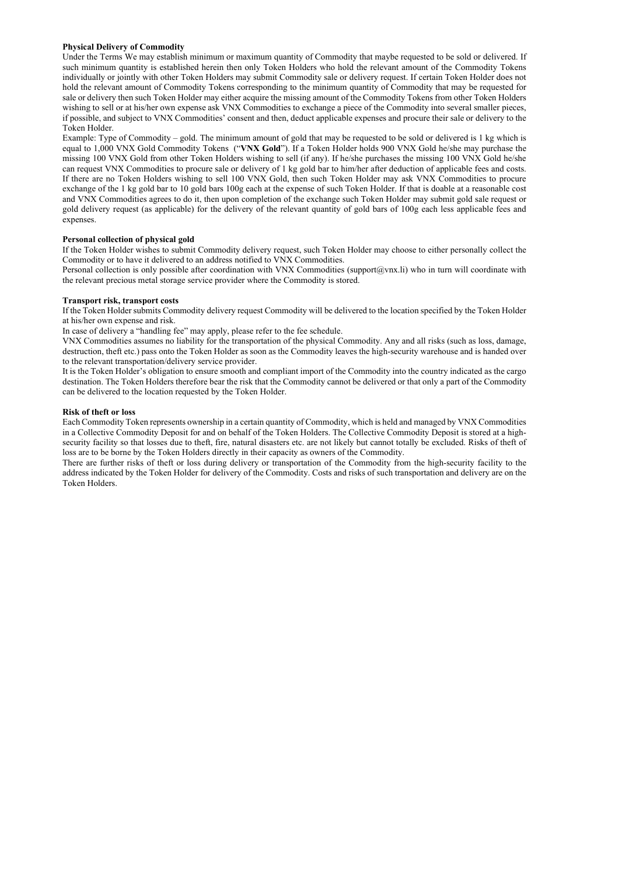## Physical Delivery of Commodity

Under the Terms We may establish minimum or maximum quantity of Commodity that maybe requested to be sold or delivered. If such minimum quantity is established herein then only Token Holders who hold the relevant amount of the Commodity Tokens individually or jointly with other Token Holders may submit Commodity sale or delivery request. If certain Token Holder does not hold the relevant amount of Commodity Tokens corresponding to the minimum quantity of Commodity that may be requested for sale or delivery then such Token Holder may either acquire the missing amount of the Commodity Tokens from other Token Holders wishing to sell or at his/her own expense ask VNX Commodities to exchange a piece of the Commodity into several smaller pieces, if possible, and subject to VNX Commodities' consent and then, deduct applicable expenses and procure their sale or delivery to the Token Holder.

Personal collection is only possible after coordination with VNX Commodities (support@vnx.li) who in turn will coordinate with the relevant precious metal storage service provider where the Commodity is stored.

Example: Type of Commodity – gold. The minimum amount of gold that may be requested to be sold or delivered is 1 kg which is equal to 1,000 VNX Gold Commodity Tokens ("VNX Gold"). If a Token Holder holds 900 VNX Gold he/she may purchase the missing 100 VNX Gold from other Token Holders wishing to sell (if any). If he/she purchases the missing 100 VNX Gold he/she can request VNX Commodities to procure sale or delivery of 1 kg gold bar to him/her after deduction of applicable fees and costs. If there are no Token Holders wishing to sell 100 VNX Gold, then such Token Holder may ask VNX Commodities to procure exchange of the 1 kg gold bar to 10 gold bars 100g each at the expense of such Token Holder. If that is doable at a reasonable cost and VNX Commodities agrees to do it, then upon completion of the exchange such Token Holder may submit gold sale request or gold delivery request (as applicable) for the delivery of the relevant quantity of gold bars of 100g each less applicable fees and expenses.

### Personal collection of physical gold

If the Token Holder wishes to submit Commodity delivery request, such Token Holder may choose to either personally collect the Commodity or to have it delivered to an address notified to VNX Commodities.

#### Transport risk, transport costs

If the Token Holder submits Commodity delivery request Commodity will be delivered to the location specified by the Token Holder at his/her own expense and risk.

In case of delivery a "handling fee" may apply, please refer to the fee schedule.

VNX Commodities assumes no liability for the transportation of the physical Commodity. Any and all risks (such as loss, damage, destruction, theft etc.) pass onto the Token Holder as soon as the Commodity leaves the high-security warehouse and is handed over to the relevant transportation/delivery service provider.

It is the Token Holder's obligation to ensure smooth and compliant import of the Commodity into the country indicated as the cargo destination. The Token Holders therefore bear the risk that the Commodity cannot be delivered or that only a part of the Commodity can be delivered to the location requested by the Token Holder.

#### Risk of theft or loss

Each Commodity Token represents ownership in a certain quantity of Commodity, which is held and managed by VNX Commodities in a Collective Commodity Deposit for and on behalf of the Token Holders. The Collective Commodity Deposit is stored at a highsecurity facility so that losses due to theft, fire, natural disasters etc. are not likely but cannot totally be excluded. Risks of theft of loss are to be borne by the Token Holders directly in their capacity as owners of the Commodity.

There are further risks of theft or loss during delivery or transportation of the Commodity from the high-security facility to the address indicated by the Token Holder for delivery of the Commodity. Costs and risks of such transportation and delivery are on the Token Holders.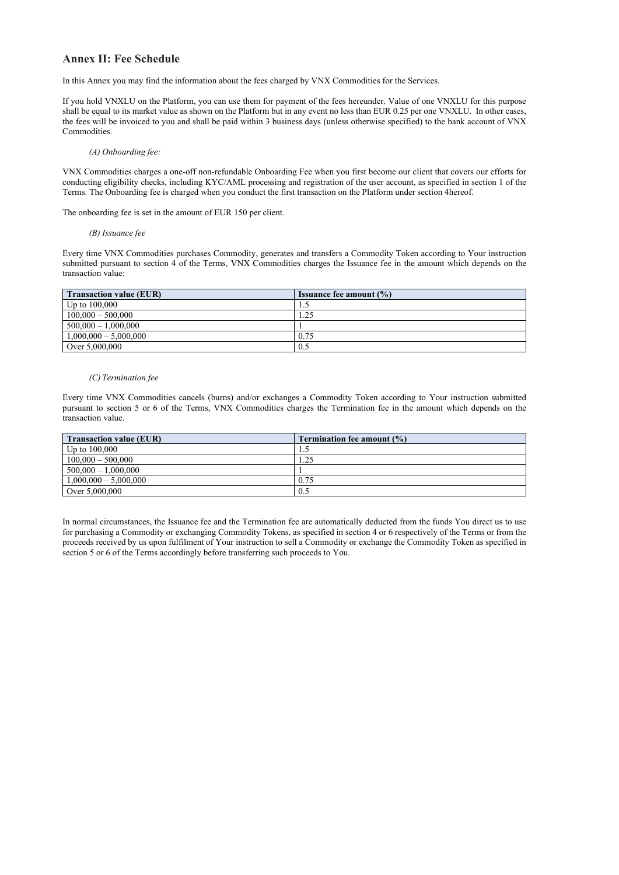## Annex II: Fee Schedule

In this Annex you may find the information about the fees charged by VNX Commodities for the Services.

If you hold VNXLU on the Platform, you can use them for payment of the fees hereunder. Value of one VNXLU for this purpose shall be equal to its market value as shown on the Platform but in any event no less than EUR 0.25 per one VNXLU. In other cases, the fees will be invoiced to you and shall be paid within 3 business days (unless otherwise specified) to the bank account of VNX Commodities.

(A) Onboarding fee:

VNX Commodities charges a one-off non-refundable Onboarding Fee when you first become our client that covers our efforts for conducting eligibility checks, including KYC/AML processing and registration of the user account, as specified in section 1 of the Terms. The Onboarding fee is charged when you conduct the first transaction on the Platform under section 4hereof.

The onboarding fee is set in the amount of EUR 150 per client.

#### (B) Issuance fee

Every time VNX Commodities purchases Commodity, generates and transfers a Commodity Token according to Your instruction submitted pursuant to section 4 of the Terms, VNX Commodities charges the Issuance fee in the amount which depends on the transaction value:

| <b>Transaction value (EUR)</b> | <b>Issuance fee amount <math>(\%)</math></b> |
|--------------------------------|----------------------------------------------|
| Up to $100,000$                | 1.                                           |
| $100,000 - 500,000$            | . .25                                        |
| $500,000 - 1,000,000$          |                                              |
| $1,000,000 - 5,000,000$        | 0.75                                         |
| Over 5,000,000                 | 0.5                                          |

#### (C) Termination fee

Every time VNX Commodities cancels (burns) and/or exchanges a Commodity Token according to Your instruction submitted pursuant to section 5 or 6 of the Terms, VNX Commodities charges the Termination fee in the amount which depends on the transaction value.

| <b>Transaction value (EUR)</b> | <b>Termination fee amount <math>(\%)</math></b> |
|--------------------------------|-------------------------------------------------|
| Up to $100,000$                |                                                 |
| $100,000 - 500,000$            | 1.25                                            |
| $500,000 - 1,000,000$          |                                                 |
| $1,000,000 - 5,000,000$        | 0.75                                            |
| Over 5,000,000                 | 0.5                                             |

In normal circumstances, the Issuance fee and the Termination fee are automatically deducted from the funds You direct us to use for purchasing a Commodity or exchanging Commodity Tokens, as specified in section 4 or 6 respectively of the Terms or from the proceeds received by us upon fulfilment of Your instruction to sell a Commodity or exchange the Commodity Token as specified in section 5 or 6 of the Terms accordingly before transferring such proceeds to You.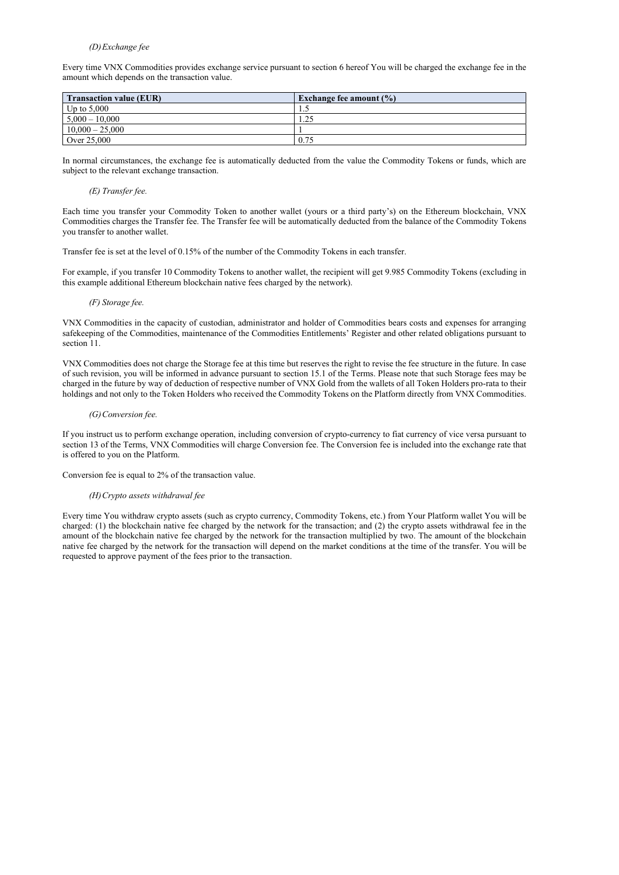## (D)Exchange fee

Every time VNX Commodities provides exchange service pursuant to section 6 hereof You will be charged the exchange fee in the amount which depends on the transaction value.

| <b>Transaction value (EUR)</b> | Exchange fee amount $(\% )$ |
|--------------------------------|-----------------------------|
| $\perp$ Up to 5,000            | ن د له                      |
| $5,000 - 10,000$               | 1.25                        |
| $10,000 - 25,000$              |                             |
| Over 25,000                    | 0.75                        |

In normal circumstances, the exchange fee is automatically deducted from the value the Commodity Tokens or funds, which are subject to the relevant exchange transaction.

## (E) Transfer fee.

Each time you transfer your Commodity Token to another wallet (yours or a third party's) on the Ethereum blockchain, VNX Commodities charges the Transfer fee. The Transfer fee will be automatically deducted from the balance of the Commodity Tokens you transfer to another wallet.

Transfer fee is set at the level of 0.15% of the number of the Commodity Tokens in each transfer.

For example, if you transfer 10 Commodity Tokens to another wallet, the recipient will get 9.985 Commodity Tokens (excluding in this example additional Ethereum blockchain native fees charged by the network).

## (F) Storage fee.

VNX Commodities in the capacity of custodian, administrator and holder of Commodities bears costs and expenses for arranging safekeeping of the Commodities, maintenance of the Commodities Entitlements' Register and other related obligations pursuant to section 11.

VNX Commodities does not charge the Storage fee at this time but reserves the right to revise the fee structure in the future. In case of such revision, you will be informed in advance pursuant to section 15.1 of the Terms. Please note that such Storage fees may be charged in the future by way of deduction of respective number of VNX Gold from the wallets of all Token Holders pro-rata to their holdings and not only to the Token Holders who received the Commodity Tokens on the Platform directly from VNX Commodities.

## (G) Conversion fee.

If you instruct us to perform exchange operation, including conversion of crypto-currency to fiat currency of vice versa pursuant to section 13 of the Terms, VNX Commodities will charge Conversion fee. The Conversion fee is included into the exchange rate that is offered to you on the Platform.

Conversion fee is equal to 2% of the transaction value.

## (H)Crypto assets withdrawal fee

Every time You withdraw crypto assets (such as crypto currency, Commodity Tokens, etc.) from Your Platform wallet You will be charged: (1) the blockchain native fee charged by the network for the transaction; and (2) the crypto assets withdrawal fee in the amount of the blockchain native fee charged by the network for the transaction multiplied by two. The amount of the blockchain native fee charged by the network for the transaction will depend on the market conditions at the time of the transfer. You will be requested to approve payment of the fees prior to the transaction.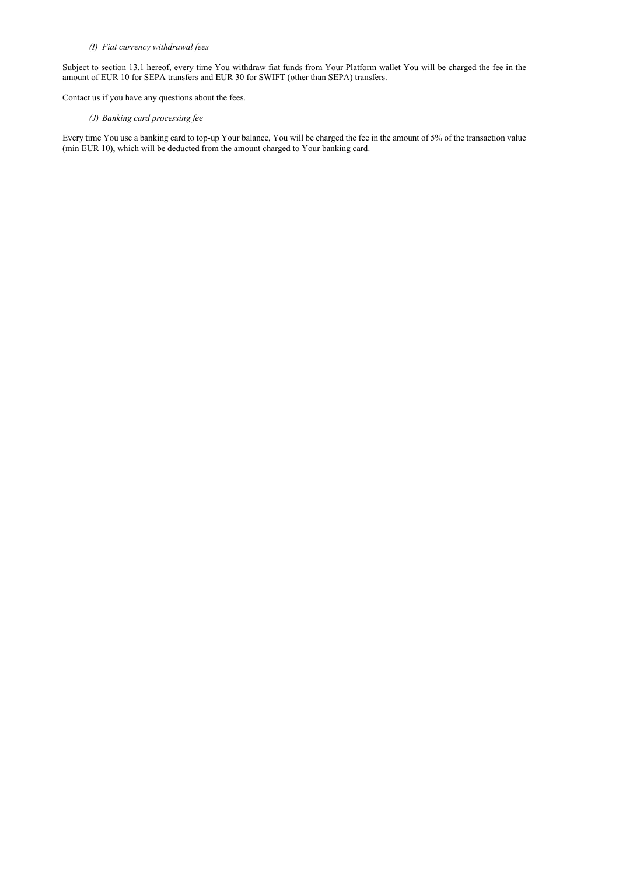## (I) Fiat currency withdrawal fees

Subject to section 13.1 hereof, every time You withdraw fiat funds from Your Platform wallet You will be charged the fee in the amount of EUR 10 for SEPA transfers and EUR 30 for SWIFT (other than SEPA) transfers.

Contact us if you have any questions about the fees.

## (J) Banking card processing fee

Every time You use a banking card to top-up Your balance, You will be charged the fee in the amount of 5% of the transaction value (min EUR 10), which will be deducted from the amount charged to Your banking card.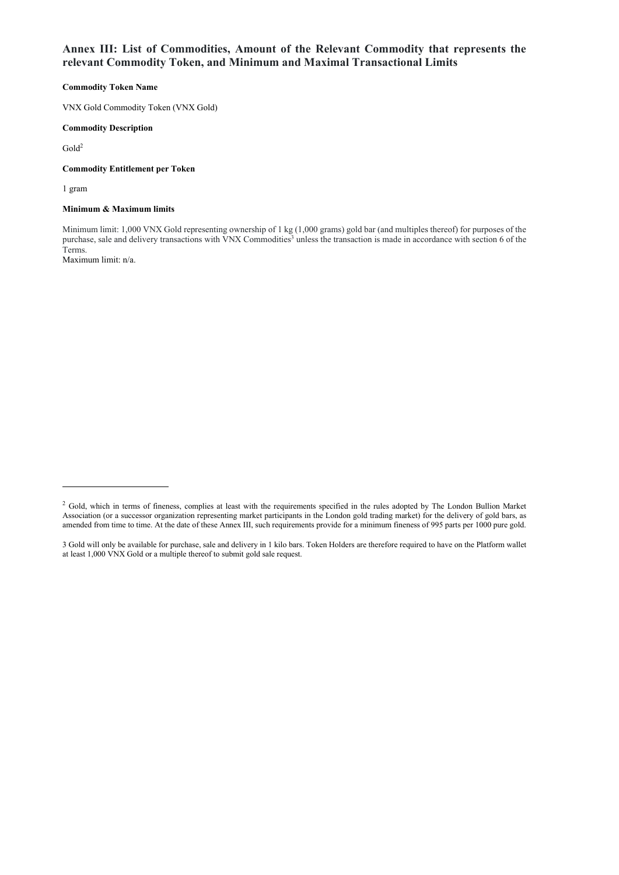## Annex III: List of Commodities, Amount of the Relevant Commodity that represents the relevant Commodity Token, and Minimum and Maximal Transactional Limits

## Commodity Token Name

VNX Gold Commodity Token (VNX Gold)

## Commodity Description

 $Gold<sup>2</sup>$ 

## Commodity Entitlement per Token

1 gram

## Minimum & Maximum limits

Minimum limit: 1,000 VNX Gold representing ownership of 1 kg (1,000 grams) gold bar (and multiples thereof) for purposes of the purchase, sale and delivery transactions with VNX Commodities<sup>3</sup> unless the transaction is made in accordance with section 6 of the Terms. Maximum limit: n/a.

<sup>&</sup>lt;sup>2</sup> Gold, which in terms of fineness, complies at least with the requirements specified in the rules adopted by The London Bullion Market Association (or a successor organization representing market participants in the London gold trading market) for the delivery of gold bars, as amended from time to time. At the date of these Annex III, such requirements provide for a minimum fineness of 995 parts per 1000 pure gold.

<sup>3</sup> Gold will only be available for purchase, sale and delivery in 1 kilo bars. Token Holders are therefore required to have on the Platform wallet at least 1,000 VNX Gold or a multiple thereof to submit gold sale request.